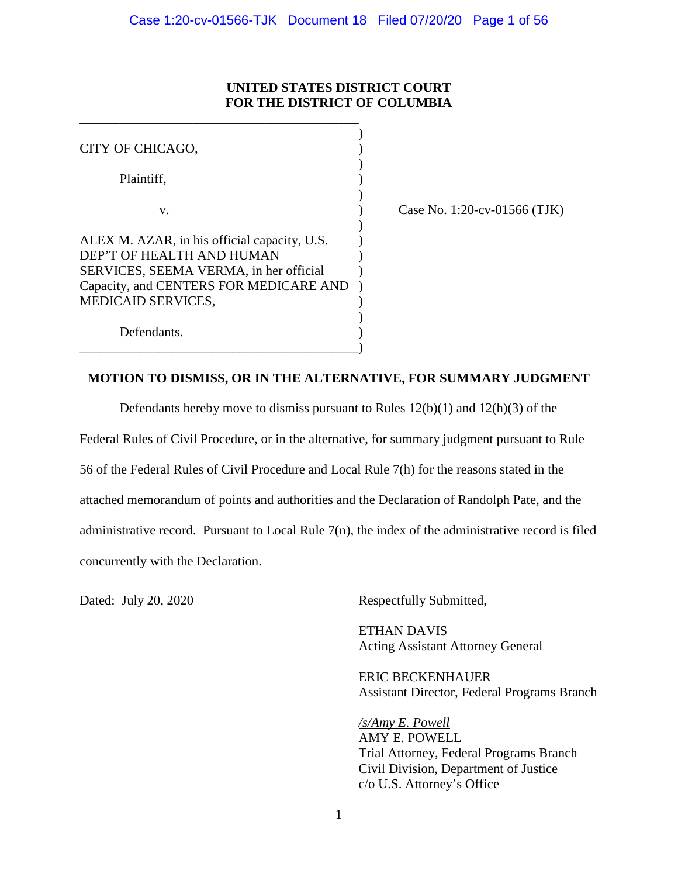# **UNITED STATES DISTRICT COURT FOR THE DISTRICT OF COLUMBIA**

| CITY OF CHICAGO,                             |  |
|----------------------------------------------|--|
|                                              |  |
| Plaintiff.                                   |  |
|                                              |  |
| V.                                           |  |
|                                              |  |
| ALEX M. AZAR, in his official capacity, U.S. |  |
| DEP'T OF HEALTH AND HUMAN                    |  |
| SERVICES, SEEMA VERMA, in her official       |  |
| Capacity, and CENTERS FOR MEDICARE AND       |  |
| MEDICAID SERVICES,                           |  |
|                                              |  |
| Defendants.                                  |  |

\_\_\_\_\_\_\_\_\_\_\_\_\_\_\_\_\_\_\_\_\_\_\_\_\_\_\_\_\_\_\_\_\_\_\_\_\_\_\_\_\_\_)

\_\_\_\_\_\_\_\_\_\_\_\_\_\_\_\_\_\_\_\_\_\_\_\_\_\_\_\_\_\_\_\_\_\_\_\_\_\_\_\_\_\_

Case No. 1:20-cv-01566 (TJK)

# **MOTION TO DISMISS, OR IN THE ALTERNATIVE, FOR SUMMARY JUDGMENT**

Defendants hereby move to dismiss pursuant to Rules  $12(b)(1)$  and  $12(h)(3)$  of the Federal Rules of Civil Procedure, or in the alternative, for summary judgment pursuant to Rule 56 of the Federal Rules of Civil Procedure and Local Rule 7(h) for the reasons stated in the attached memorandum of points and authorities and the Declaration of Randolph Pate, and the administrative record. Pursuant to Local Rule 7(n), the index of the administrative record is filed concurrently with the Declaration.

Dated: July 20, 2020 Respectfully Submitted,

ETHAN DAVIS Acting Assistant Attorney General

ERIC BECKENHAUER Assistant Director, Federal Programs Branch

*/s/Amy E. Powell*  AMY E. POWELL Trial Attorney, Federal Programs Branch Civil Division, Department of Justice c/o U.S. Attorney's Office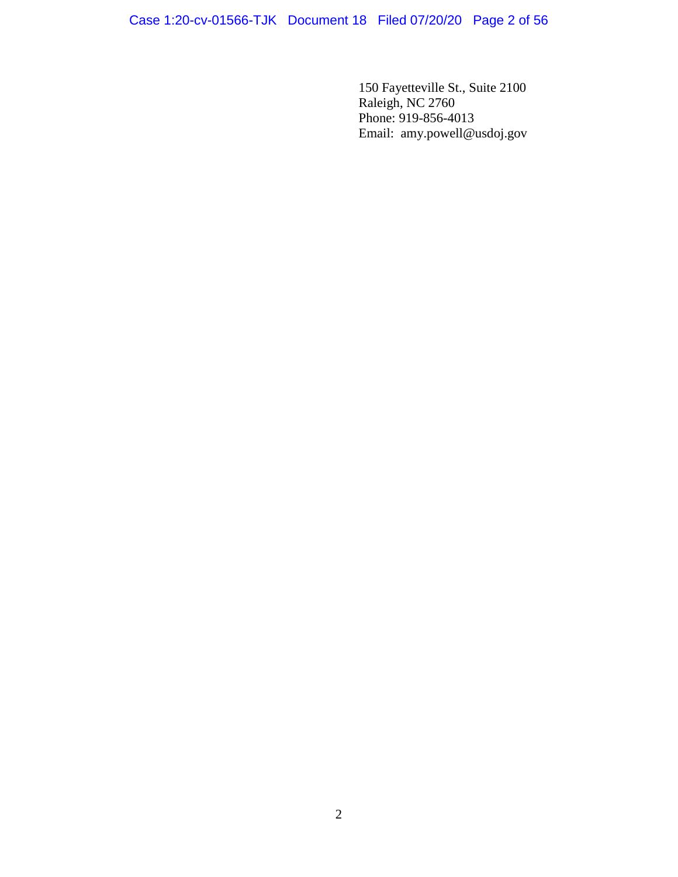Case 1:20-cv-01566-TJK Document 18 Filed 07/20/20 Page 2 of 56

150 Fayetteville St., Suite 2100 Raleigh, NC 2760 Phone: 919-856-4013 Email: amy.powell@usdoj.gov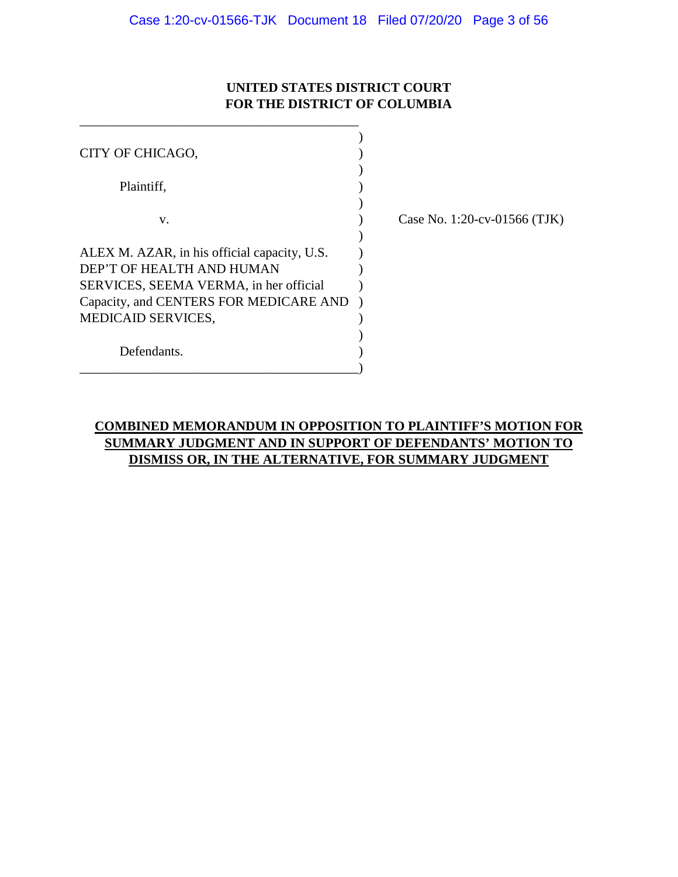# **UNITED STATES DISTRICT COURT FOR THE DISTRICT OF COLUMBIA**

| CITY OF CHICAGO,                             |  |
|----------------------------------------------|--|
|                                              |  |
| Plaintiff,                                   |  |
|                                              |  |
| V.                                           |  |
| ALEX M. AZAR, in his official capacity, U.S. |  |
| DEP'T OF HEALTH AND HUMAN                    |  |
| SERVICES, SEEMA VERMA, in her official       |  |
| Capacity, and CENTERS FOR MEDICARE AND       |  |
| <b>MEDICAID SERVICES,</b>                    |  |
|                                              |  |
| Defendants.                                  |  |
|                                              |  |

\_\_\_\_\_\_\_\_\_\_\_\_\_\_\_\_\_\_\_\_\_\_\_\_\_\_\_\_\_\_\_\_\_\_\_\_\_\_\_\_\_\_

Case No. 1:20-cv-01566 (TJK)

# **COMBINED MEMORANDUM IN OPPOSITION TO PLAINTIFF'S MOTION FOR SUMMARY JUDGMENT AND IN SUPPORT OF DEFENDANTS' MOTION TO DISMISS OR, IN THE ALTERNATIVE, FOR SUMMARY JUDGMENT**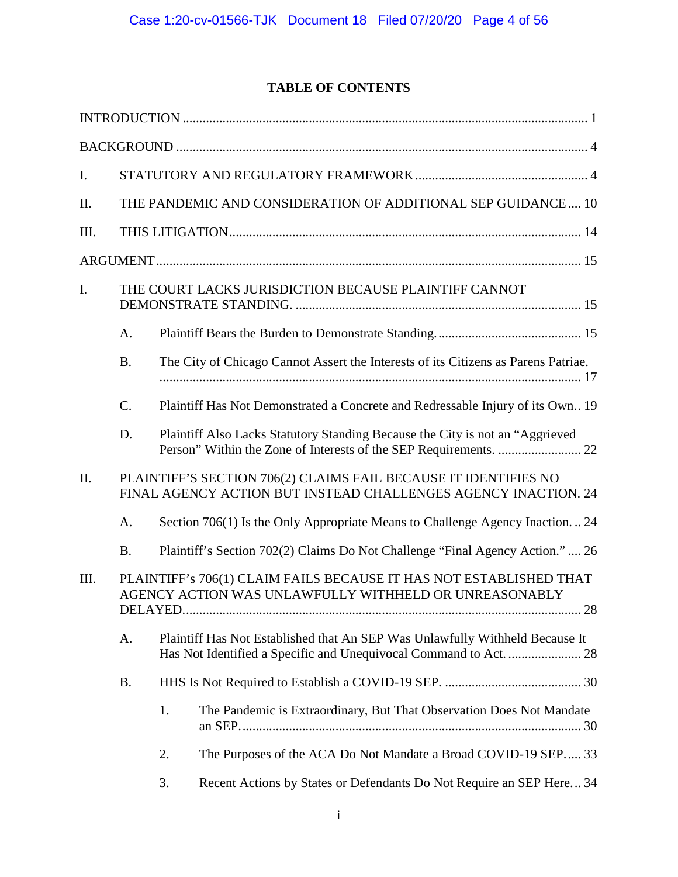# **TABLE OF CONTENTS**

| I.   |                 |    |                                                                                                                                   |  |
|------|-----------------|----|-----------------------------------------------------------------------------------------------------------------------------------|--|
| Π.   |                 |    | THE PANDEMIC AND CONSIDERATION OF ADDITIONAL SEP GUIDANCE 10                                                                      |  |
| III. |                 |    |                                                                                                                                   |  |
|      |                 |    |                                                                                                                                   |  |
| I.   |                 |    | THE COURT LACKS JURISDICTION BECAUSE PLAINTIFF CANNOT                                                                             |  |
|      | A.              |    |                                                                                                                                   |  |
|      | <b>B.</b>       |    | The City of Chicago Cannot Assert the Interests of its Citizens as Parens Patriae.                                                |  |
|      | $\mathcal{C}$ . |    | Plaintiff Has Not Demonstrated a Concrete and Redressable Injury of its Own. 19                                                   |  |
|      | D.              |    | Plaintiff Also Lacks Statutory Standing Because the City is not an "Aggrieved"                                                    |  |
| II.  |                 |    | PLAINTIFF'S SECTION 706(2) CLAIMS FAIL BECAUSE IT IDENTIFIES NO<br>FINAL AGENCY ACTION BUT INSTEAD CHALLENGES AGENCY INACTION. 24 |  |
|      | A.              |    | Section 706(1) Is the Only Appropriate Means to Challenge Agency Inaction24                                                       |  |
|      | <b>B.</b>       |    | Plaintiff's Section 702(2) Claims Do Not Challenge "Final Agency Action."  26                                                     |  |
| III. |                 |    | PLAINTIFF's 706(1) CLAIM FAILS BECAUSE IT HAS NOT ESTABLISHED THAT<br>AGENCY ACTION WAS UNLAWFULLY WITHHELD OR UNREASONABLY       |  |
|      | A.              |    | Plaintiff Has Not Established that An SEP Was Unlawfully Withheld Because It                                                      |  |
|      | <b>B.</b>       |    |                                                                                                                                   |  |
|      |                 | 1. | The Pandemic is Extraordinary, But That Observation Does Not Mandate                                                              |  |
|      |                 | 2. | The Purposes of the ACA Do Not Mandate a Broad COVID-19 SEP 33                                                                    |  |
|      |                 | 3. | Recent Actions by States or Defendants Do Not Require an SEP Here 34                                                              |  |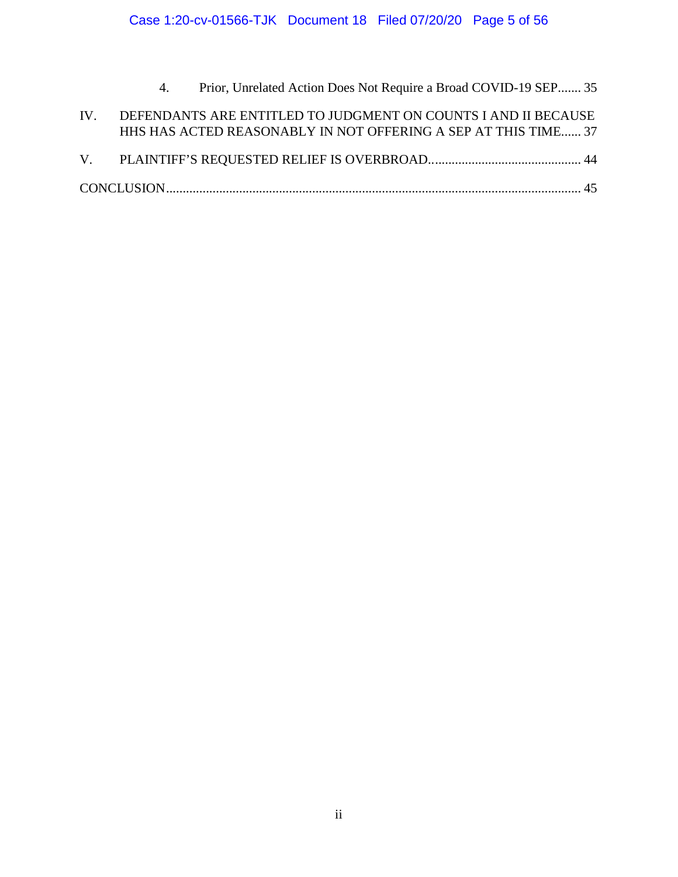|                   | Prior, Unrelated Action Does Not Require a Broad COVID-19 SEP 35                                                                 |  |  |
|-------------------|----------------------------------------------------------------------------------------------------------------------------------|--|--|
| $\mathbf{IV}_{-}$ | DEFENDANTS ARE ENTITLED TO JUDGMENT ON COUNTS I AND II BECAUSE<br>HHS HAS ACTED REASONABLY IN NOT OFFERING A SEP AT THIS TIME 37 |  |  |
|                   |                                                                                                                                  |  |  |
|                   |                                                                                                                                  |  |  |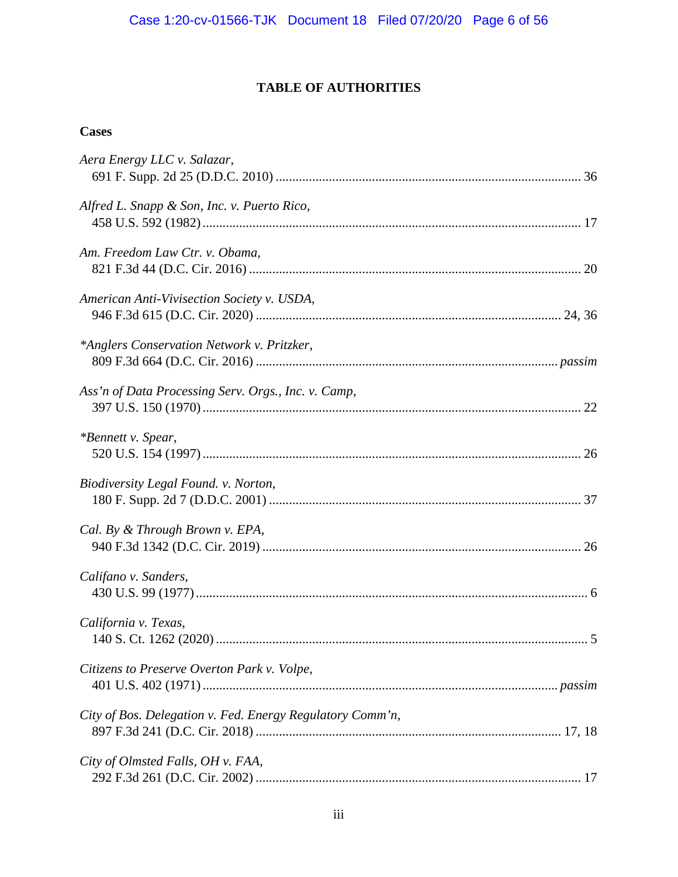# **TABLE OF AUTHORITIES**

# **Cases**

| Aera Energy LLC v. Salazar,                               |
|-----------------------------------------------------------|
| Alfred L. Snapp & Son, Inc. v. Puerto Rico,               |
| Am. Freedom Law Ctr. v. Obama,                            |
| American Anti-Vivisection Society v. USDA,                |
| *Anglers Conservation Network v. Pritzker,                |
| Ass'n of Data Processing Serv. Orgs., Inc. v. Camp,       |
| *Bennett v. Spear,                                        |
| Biodiversity Legal Found. v. Norton,                      |
| Cal. By & Through Brown v. EPA,                           |
| Califano v. Sanders,                                      |
| California v. Texas,                                      |
| Citizens to Preserve Overton Park v. Volpe,               |
| City of Bos. Delegation v. Fed. Energy Regulatory Comm'n, |
| City of Olmsted Falls, OH v. FAA,                         |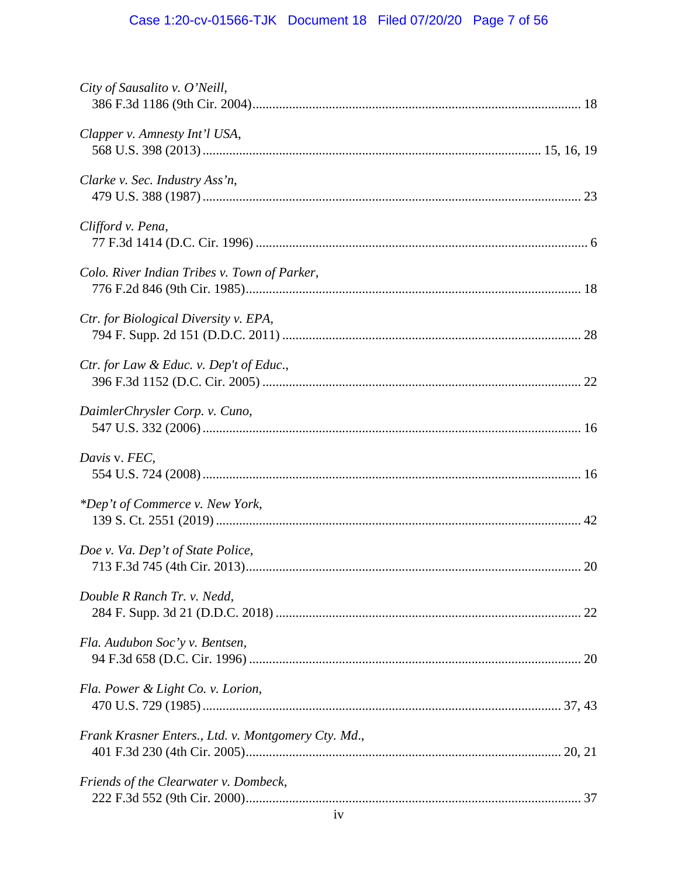# Case 1:20-cv-01566-TJK Document 18 Filed 07/20/20 Page 7 of 56

| City of Sausalito v. O'Neill,                       |  |
|-----------------------------------------------------|--|
| Clapper v. Amnesty Int'l USA,                       |  |
| Clarke v. Sec. Industry Ass'n,                      |  |
| Clifford v. Pena,                                   |  |
| Colo. River Indian Tribes v. Town of Parker,        |  |
| Ctr. for Biological Diversity v. EPA,               |  |
| Ctr. for Law & Educ. v. Dep't of Educ.,             |  |
| DaimlerChrysler Corp. v. Cuno,                      |  |
| Davis v. FEC,                                       |  |
| *Dep't of Commerce v. New York,                     |  |
| Doe v. Va. Dep't of State Police,                   |  |
| Double R Ranch Tr. v. Nedd,                         |  |
| Fla. Audubon Soc'y v. Bentsen,                      |  |
| Fla. Power & Light Co. v. Lorion,                   |  |
| Frank Krasner Enters., Ltd. v. Montgomery Cty. Md., |  |
| Friends of the Clearwater v. Dombeck,               |  |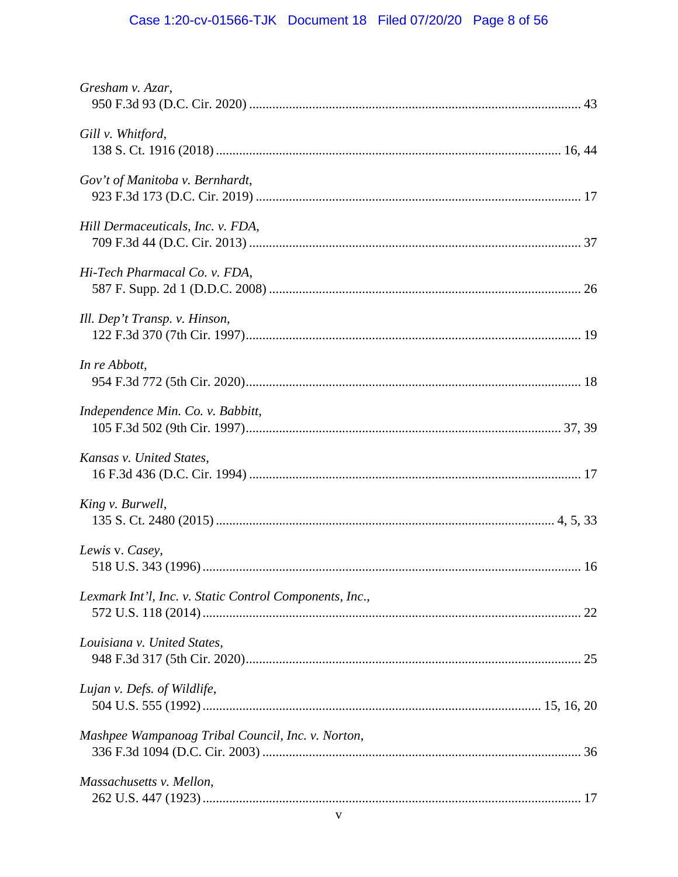# Case 1:20-cv-01566-TJK Document 18 Filed 07/20/20 Page 8 of 56

| Gresham v. Azar,                                        |  |
|---------------------------------------------------------|--|
| Gill v. Whitford,                                       |  |
| Gov't of Manitoba v. Bernhardt,                         |  |
| Hill Dermaceuticals, Inc. v. FDA,                       |  |
| Hi-Tech Pharmacal Co. v. FDA,                           |  |
| Ill. Dep't Transp. v. Hinson,                           |  |
| In re Abbott,                                           |  |
| Independence Min. Co. v. Babbitt,                       |  |
| Kansas v. United States,                                |  |
| King v. Burwell,                                        |  |
| Lewis v. Casey,                                         |  |
| Lexmark Int'l, Inc. v. Static Control Components, Inc., |  |
| Louisiana v. United States,                             |  |
| Lujan v. Defs. of Wildlife,                             |  |
| Mashpee Wampanoag Tribal Council, Inc. v. Norton,       |  |
| Massachusetts v. Mellon,                                |  |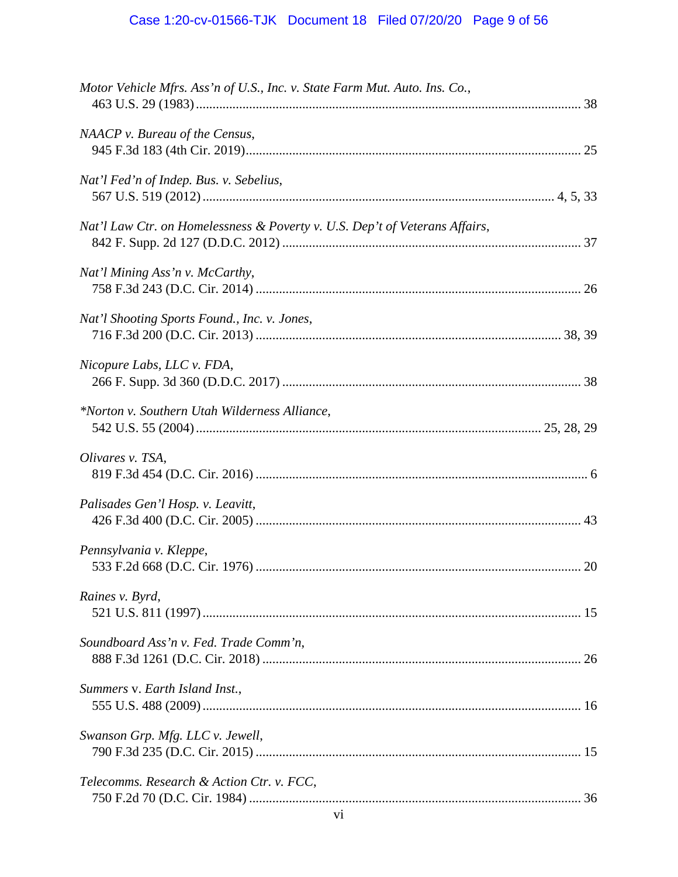# Case 1:20-cv-01566-TJK Document 18 Filed 07/20/20 Page 9 of 56

| Motor Vehicle Mfrs. Ass'n of U.S., Inc. v. State Farm Mut. Auto. Ins. Co.,  |  |
|-----------------------------------------------------------------------------|--|
| NAACP v. Bureau of the Census,                                              |  |
| Nat'l Fed'n of Indep. Bus. v. Sebelius,                                     |  |
| Nat'l Law Ctr. on Homelessness & Poverty v. U.S. Dep't of Veterans Affairs, |  |
| Nat'l Mining Ass'n v. McCarthy,                                             |  |
| Nat'l Shooting Sports Found., Inc. v. Jones,                                |  |
| Nicopure Labs, LLC v. FDA,                                                  |  |
| *Norton v. Southern Utah Wilderness Alliance,                               |  |
| Olivares v. TSA,                                                            |  |
| Palisades Gen'l Hosp. v. Leavitt,                                           |  |
| Pennsylvania v. Kleppe,                                                     |  |
| Raines v. Byrd,                                                             |  |
| Soundboard Ass'n v. Fed. Trade Comm'n,                                      |  |
| Summers v. Earth Island Inst.,                                              |  |
| Swanson Grp. Mfg. LLC v. Jewell,                                            |  |
| Telecomms. Research & Action Ctr. v. FCC,                                   |  |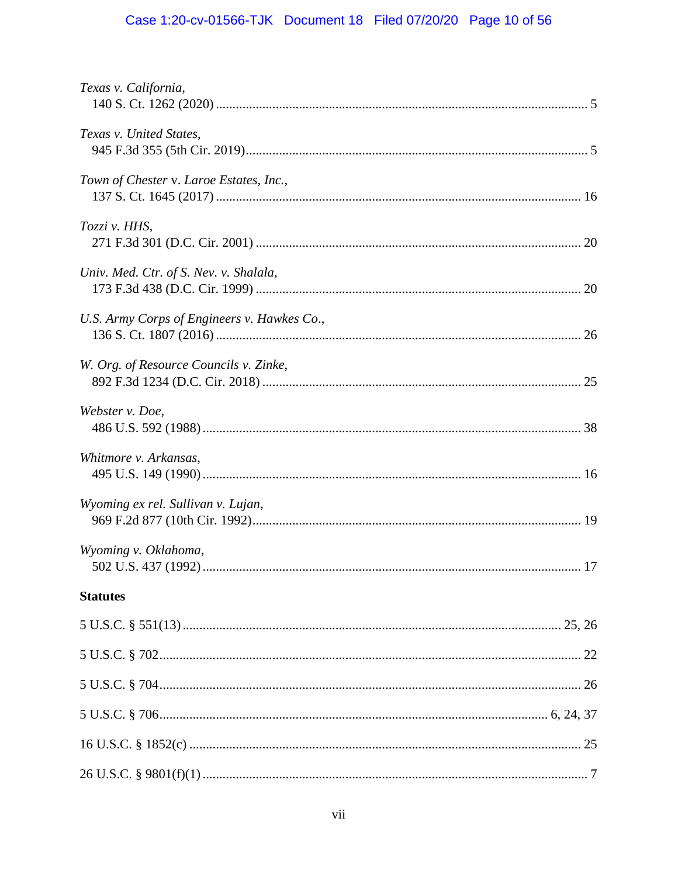# Case 1:20-cv-01566-TJK Document 18 Filed 07/20/20 Page 10 of 56

| Texas v. California,                        |
|---------------------------------------------|
| Texas v. United States,                     |
| Town of Chester v. Laroe Estates, Inc.,     |
| Tozzi v. HHS,                               |
| Univ. Med. Ctr. of S. Nev. v. Shalala,      |
| U.S. Army Corps of Engineers v. Hawkes Co., |
| W. Org. of Resource Councils v. Zinke,      |
| Webster v. Doe,                             |
| Whitmore v. Arkansas,                       |
| Wyoming ex rel. Sullivan v. Lujan,          |
| Wyoming v. Oklahoma,                        |
| <b>Statutes</b>                             |
|                                             |
|                                             |
|                                             |
|                                             |
|                                             |
|                                             |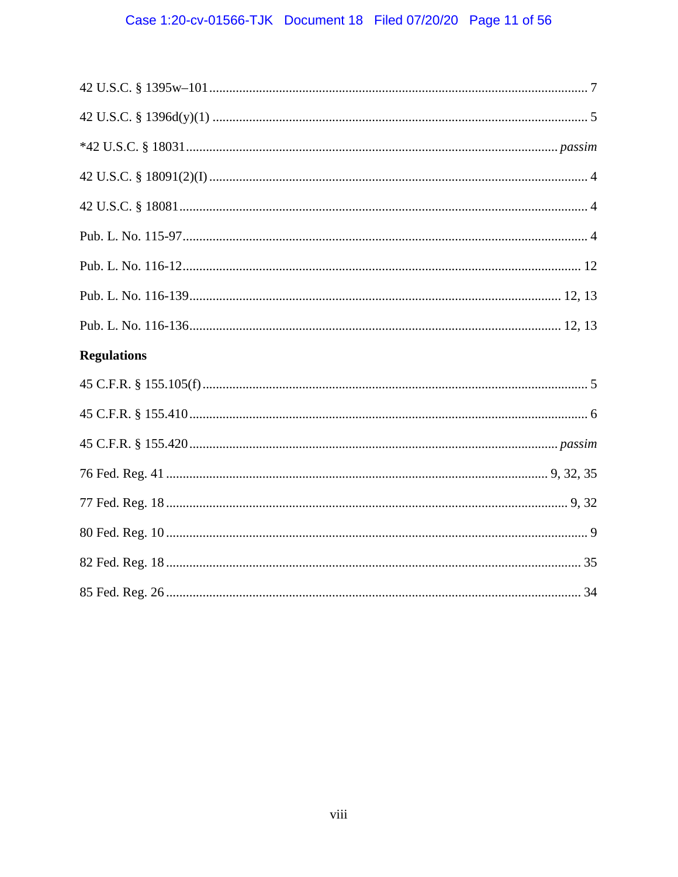# Case 1:20-cv-01566-TJK Document 18 Filed 07/20/20 Page 11 of 56

| <b>Regulations</b> |
|--------------------|
|                    |
|                    |
|                    |
|                    |
|                    |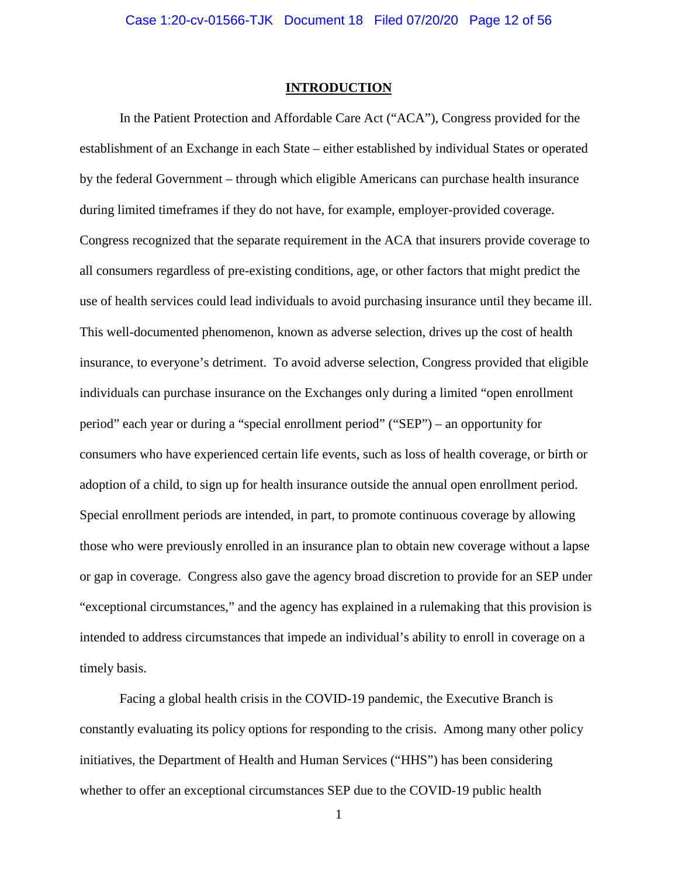#### **INTRODUCTION**

In the Patient Protection and Affordable Care Act ("ACA"), Congress provided for the establishment of an Exchange in each State – either established by individual States or operated by the federal Government – through which eligible Americans can purchase health insurance during limited timeframes if they do not have, for example, employer-provided coverage. Congress recognized that the separate requirement in the ACA that insurers provide coverage to all consumers regardless of pre-existing conditions, age, or other factors that might predict the use of health services could lead individuals to avoid purchasing insurance until they became ill. This well-documented phenomenon, known as adverse selection, drives up the cost of health insurance, to everyone's detriment. To avoid adverse selection, Congress provided that eligible individuals can purchase insurance on the Exchanges only during a limited "open enrollment period" each year or during a "special enrollment period" ("SEP") – an opportunity for consumers who have experienced certain life events, such as loss of health coverage, or birth or adoption of a child, to sign up for health insurance outside the annual open enrollment period. Special enrollment periods are intended, in part, to promote continuous coverage by allowing those who were previously enrolled in an insurance plan to obtain new coverage without a lapse or gap in coverage. Congress also gave the agency broad discretion to provide for an SEP under "exceptional circumstances," and the agency has explained in a rulemaking that this provision is intended to address circumstances that impede an individual's ability to enroll in coverage on a timely basis.

Facing a global health crisis in the COVID-19 pandemic, the Executive Branch is constantly evaluating its policy options for responding to the crisis. Among many other policy initiatives, the Department of Health and Human Services ("HHS") has been considering whether to offer an exceptional circumstances SEP due to the COVID-19 public health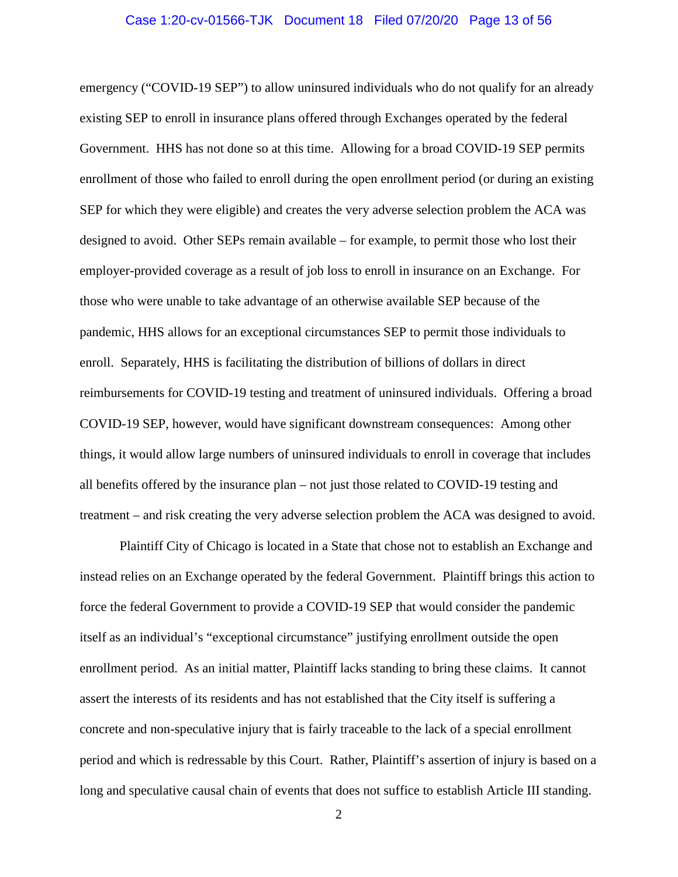emergency ("COVID-19 SEP") to allow uninsured individuals who do not qualify for an already existing SEP to enroll in insurance plans offered through Exchanges operated by the federal Government. HHS has not done so at this time. Allowing for a broad COVID-19 SEP permits enrollment of those who failed to enroll during the open enrollment period (or during an existing SEP for which they were eligible) and creates the very adverse selection problem the ACA was designed to avoid. Other SEPs remain available – for example, to permit those who lost their employer-provided coverage as a result of job loss to enroll in insurance on an Exchange. For those who were unable to take advantage of an otherwise available SEP because of the pandemic, HHS allows for an exceptional circumstances SEP to permit those individuals to enroll. Separately, HHS is facilitating the distribution of billions of dollars in direct reimbursements for COVID-19 testing and treatment of uninsured individuals. Offering a broad COVID-19 SEP, however, would have significant downstream consequences: Among other things, it would allow large numbers of uninsured individuals to enroll in coverage that includes all benefits offered by the insurance plan – not just those related to COVID-19 testing and treatment – and risk creating the very adverse selection problem the ACA was designed to avoid.

Plaintiff City of Chicago is located in a State that chose not to establish an Exchange and instead relies on an Exchange operated by the federal Government. Plaintiff brings this action to force the federal Government to provide a COVID-19 SEP that would consider the pandemic itself as an individual's "exceptional circumstance" justifying enrollment outside the open enrollment period. As an initial matter, Plaintiff lacks standing to bring these claims. It cannot assert the interests of its residents and has not established that the City itself is suffering a concrete and non-speculative injury that is fairly traceable to the lack of a special enrollment period and which is redressable by this Court. Rather, Plaintiff's assertion of injury is based on a long and speculative causal chain of events that does not suffice to establish Article III standing.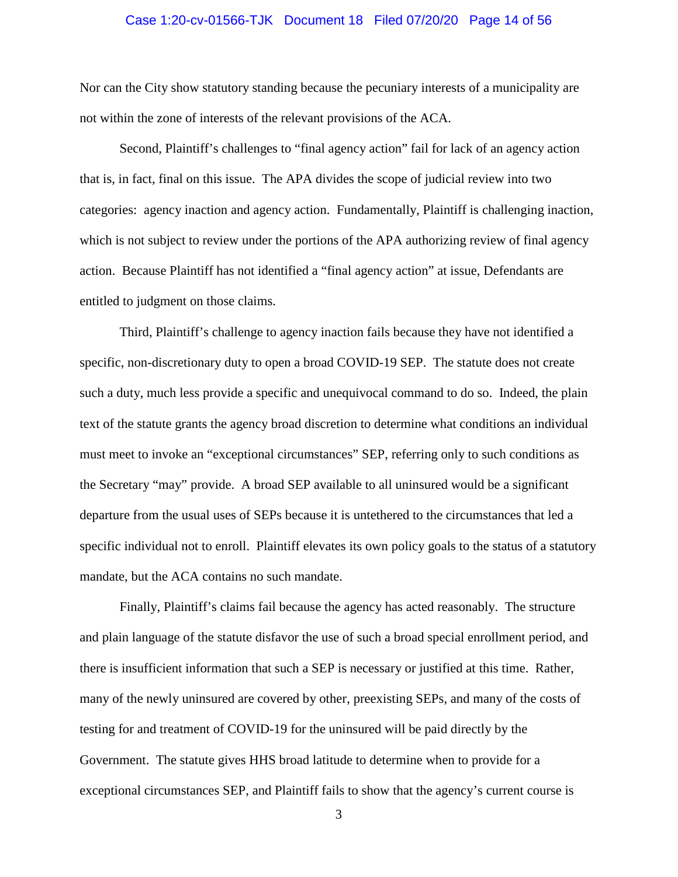#### Case 1:20-cv-01566-TJK Document 18 Filed 07/20/20 Page 14 of 56

Nor can the City show statutory standing because the pecuniary interests of a municipality are not within the zone of interests of the relevant provisions of the ACA.

Second, Plaintiff's challenges to "final agency action" fail for lack of an agency action that is, in fact, final on this issue. The APA divides the scope of judicial review into two categories: agency inaction and agency action. Fundamentally, Plaintiff is challenging inaction, which is not subject to review under the portions of the APA authorizing review of final agency action. Because Plaintiff has not identified a "final agency action" at issue, Defendants are entitled to judgment on those claims.

Third, Plaintiff's challenge to agency inaction fails because they have not identified a specific, non-discretionary duty to open a broad COVID-19 SEP. The statute does not create such a duty, much less provide a specific and unequivocal command to do so. Indeed, the plain text of the statute grants the agency broad discretion to determine what conditions an individual must meet to invoke an "exceptional circumstances" SEP, referring only to such conditions as the Secretary "may" provide. A broad SEP available to all uninsured would be a significant departure from the usual uses of SEPs because it is untethered to the circumstances that led a specific individual not to enroll. Plaintiff elevates its own policy goals to the status of a statutory mandate, but the ACA contains no such mandate.

Finally, Plaintiff's claims fail because the agency has acted reasonably. The structure and plain language of the statute disfavor the use of such a broad special enrollment period, and there is insufficient information that such a SEP is necessary or justified at this time. Rather, many of the newly uninsured are covered by other, preexisting SEPs, and many of the costs of testing for and treatment of COVID-19 for the uninsured will be paid directly by the Government. The statute gives HHS broad latitude to determine when to provide for a exceptional circumstances SEP, and Plaintiff fails to show that the agency's current course is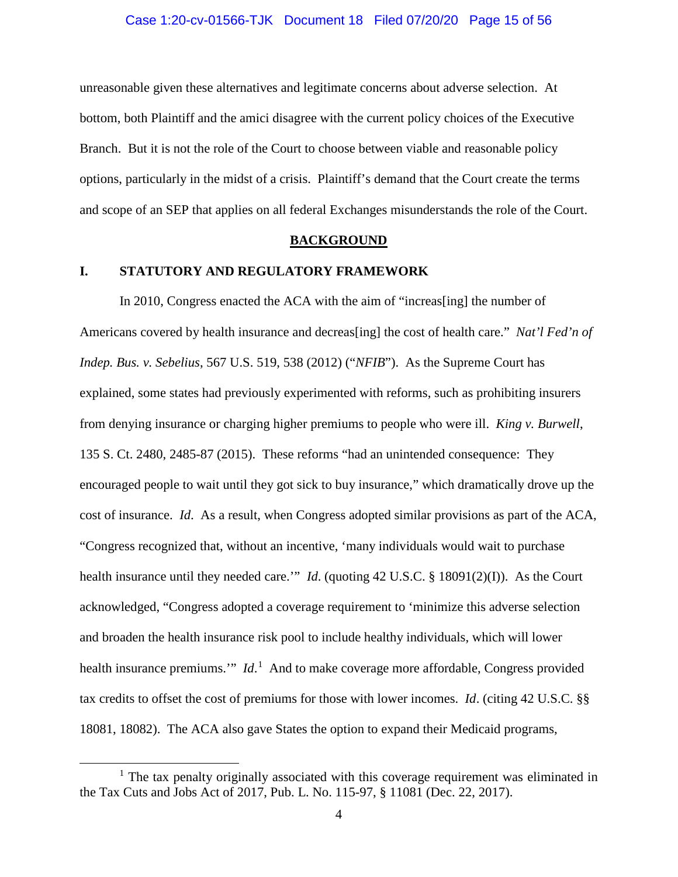#### Case 1:20-cv-01566-TJK Document 18 Filed 07/20/20 Page 15 of 56

unreasonable given these alternatives and legitimate concerns about adverse selection. At bottom, both Plaintiff and the amici disagree with the current policy choices of the Executive Branch. But it is not the role of the Court to choose between viable and reasonable policy options, particularly in the midst of a crisis. Plaintiff's demand that the Court create the terms and scope of an SEP that applies on all federal Exchanges misunderstands the role of the Court.

#### **BACKGROUND**

### **I. STATUTORY AND REGULATORY FRAMEWORK**

In 2010, Congress enacted the ACA with the aim of "increas[ing] the number of Americans covered by health insurance and decreas[ing] the cost of health care." *Nat'l Fed'n of Indep. Bus. v. Sebelius*, 567 U.S. 519, 538 (2012) ("*NFIB*"). As the Supreme Court has explained, some states had previously experimented with reforms, such as prohibiting insurers from denying insurance or charging higher premiums to people who were ill. *King v. Burwell*, 135 S. Ct. 2480, 2485-87 (2015). These reforms "had an unintended consequence: They encouraged people to wait until they got sick to buy insurance," which dramatically drove up the cost of insurance. *Id*. As a result, when Congress adopted similar provisions as part of the ACA, "Congress recognized that, without an incentive, 'many individuals would wait to purchase health insurance until they needed care.'" *Id*. (quoting 42 U.S.C. § 18091(2)(I)). As the Court acknowledged, "Congress adopted a coverage requirement to 'minimize this adverse selection and broaden the health insurance risk pool to include healthy individuals, which will lower health insurance premiums." *Id*.<sup>1</sup> And to make coverage more affordable, Congress provided tax credits to offset the cost of premiums for those with lower incomes. *Id*. (citing 42 U.S.C. §§ 18081, 18082). The ACA also gave States the option to expand their Medicaid programs,

 $1$ . The tax penalty originally associated with this coverage requirement was eliminated in the Tax Cuts and Jobs Act of 2017, Pub. L. No. 115-97, § 11081 (Dec. 22, 2017).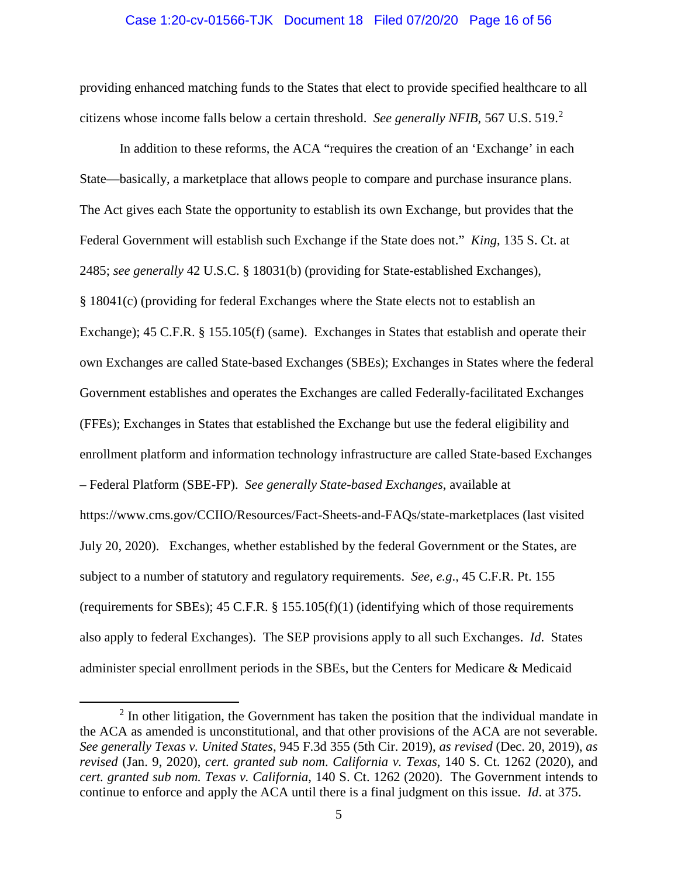#### Case 1:20-cv-01566-TJK Document 18 Filed 07/20/20 Page 16 of 56

providing enhanced matching funds to the States that elect to provide specified healthcare to all citizens whose income falls below a certain threshold. *See generally NFIB*, 567 U.S. 519. 2

In addition to these reforms, the ACA "requires the creation of an 'Exchange' in each State—basically, a marketplace that allows people to compare and purchase insurance plans. The Act gives each State the opportunity to establish its own Exchange, but provides that the Federal Government will establish such Exchange if the State does not." *King*, 135 S. Ct. at 2485; *see generally* 42 U.S.C. § 18031(b) (providing for State-established Exchanges), § 18041(c) (providing for federal Exchanges where the State elects not to establish an Exchange); 45 C.F.R. § 155.105(f) (same). Exchanges in States that establish and operate their own Exchanges are called State-based Exchanges (SBEs); Exchanges in States where the federal Government establishes and operates the Exchanges are called Federally-facilitated Exchanges (FFEs); Exchanges in States that established the Exchange but use the federal eligibility and enrollment platform and information technology infrastructure are called State-based Exchanges – Federal Platform (SBE-FP). *See generally State-based Exchanges*, available at https://www.cms.gov/CCIIO/Resources/Fact-Sheets-and-FAQs/state-marketplaces (last visited July 20, 2020). Exchanges, whether established by the federal Government or the States, are subject to a number of statutory and regulatory requirements. *See, e.g*., 45 C.F.R. Pt. 155 (requirements for SBEs); 45 C.F.R. § 155.105(f)(1) (identifying which of those requirements also apply to federal Exchanges). The SEP provisions apply to all such Exchanges. *Id*. States administer special enrollment periods in the SBEs, but the Centers for Medicare & Medicaid

 $2$  In other litigation, the Government has taken the position that the individual mandate in the ACA as amended is unconstitutional, and that other provisions of the ACA are not severable. *See generally Texas v. United States*, 945 F.3d 355 (5th Cir. 2019), *as revised* (Dec. 20, 2019), *as revised* (Jan. 9, 2020), *cert. granted sub nom*. *California v. Texas*, 140 S. Ct. 1262 (2020), and *cert. granted sub nom. Texas v. California*, 140 S. Ct. 1262 (2020). The Government intends to continue to enforce and apply the ACA until there is a final judgment on this issue. *Id*. at 375.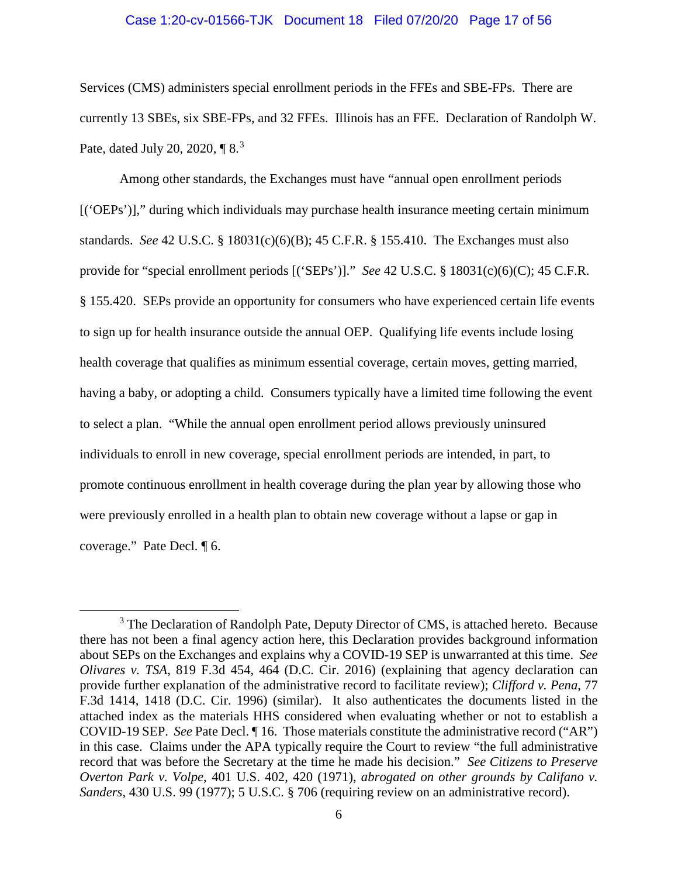#### Case 1:20-cv-01566-TJK Document 18 Filed 07/20/20 Page 17 of 56

Services (CMS) administers special enrollment periods in the FFEs and SBE-FPs. There are currently 13 SBEs, six SBE-FPs, and 32 FFEs. Illinois has an FFE. Declaration of Randolph W. Pate, dated July 20, 2020,  $\P$  8.<sup>3</sup>

Among other standards, the Exchanges must have "annual open enrollment periods [('OEPs')]," during which individuals may purchase health insurance meeting certain minimum standards. *See* 42 U.S.C. § 18031(c)(6)(B); 45 C.F.R. § 155.410. The Exchanges must also provide for "special enrollment periods [('SEPs')]." *See* 42 U.S.C. § 18031(c)(6)(C); 45 C.F.R. § 155.420. SEPs provide an opportunity for consumers who have experienced certain life events to sign up for health insurance outside the annual OEP. Qualifying life events include losing health coverage that qualifies as minimum essential coverage, certain moves, getting married, having a baby, or adopting a child. Consumers typically have a limited time following the event to select a plan. "While the annual open enrollment period allows previously uninsured individuals to enroll in new coverage, special enrollment periods are intended, in part, to promote continuous enrollment in health coverage during the plan year by allowing those who were previously enrolled in a health plan to obtain new coverage without a lapse or gap in coverage." Pate Decl. ¶ 6.

<sup>&</sup>lt;sup>3</sup> The Declaration of Randolph Pate, Deputy Director of CMS, is attached hereto. Because there has not been a final agency action here, this Declaration provides background information about SEPs on the Exchanges and explains why a COVID-19 SEP is unwarranted at this time. *See Olivares v. TSA*, 819 F.3d 454, 464 (D.C. Cir. 2016) (explaining that agency declaration can provide further explanation of the administrative record to facilitate review); *Clifford v. Pena*, 77 F.3d 1414, 1418 (D.C. Cir. 1996) (similar). It also authenticates the documents listed in the attached index as the materials HHS considered when evaluating whether or not to establish a COVID-19 SEP. *See* Pate Decl. ¶ 16. Those materials constitute the administrative record ("AR") in this case. Claims under the APA typically require the Court to review "the full administrative record that was before the Secretary at the time he made his decision." *See Citizens to Preserve Overton Park v. Volpe*, 401 U.S. 402, 420 (1971), *abrogated on other grounds by Califano v. Sanders*, 430 U.S. 99 (1977); 5 U.S.C. § 706 (requiring review on an administrative record).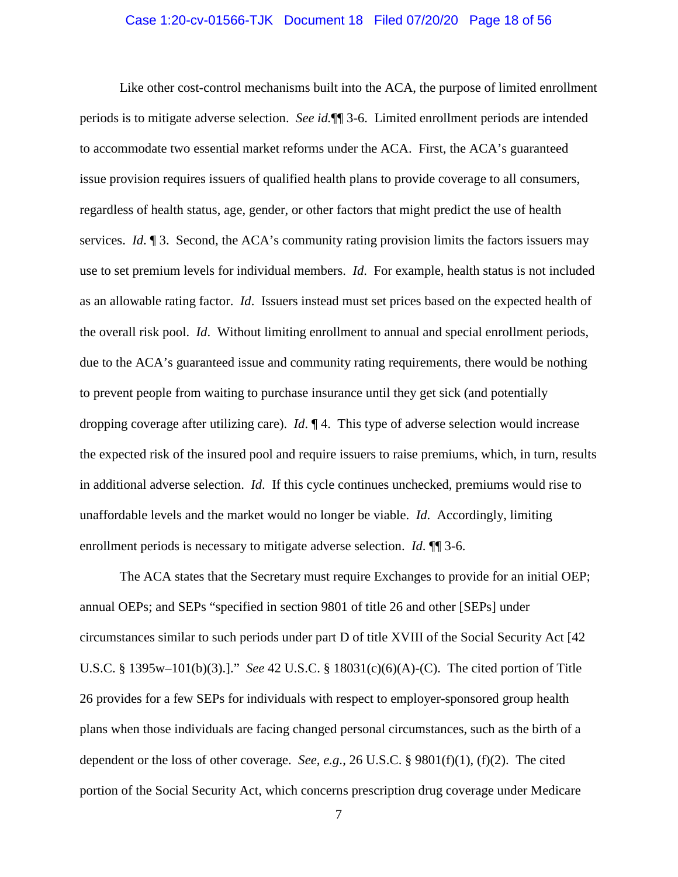#### Case 1:20-cv-01566-TJK Document 18 Filed 07/20/20 Page 18 of 56

Like other cost-control mechanisms built into the ACA, the purpose of limited enrollment periods is to mitigate adverse selection. *See id.*¶¶ 3-6. Limited enrollment periods are intended to accommodate two essential market reforms under the ACA. First, the ACA's guaranteed issue provision requires issuers of qualified health plans to provide coverage to all consumers, regardless of health status, age, gender, or other factors that might predict the use of health services. *Id*. ¶ 3. Second, the ACA's community rating provision limits the factors issuers may use to set premium levels for individual members. *Id*. For example, health status is not included as an allowable rating factor. *Id*. Issuers instead must set prices based on the expected health of the overall risk pool. *Id*. Without limiting enrollment to annual and special enrollment periods, due to the ACA's guaranteed issue and community rating requirements, there would be nothing to prevent people from waiting to purchase insurance until they get sick (and potentially dropping coverage after utilizing care). *Id*. ¶ 4. This type of adverse selection would increase the expected risk of the insured pool and require issuers to raise premiums, which, in turn, results in additional adverse selection. *Id*. If this cycle continues unchecked, premiums would rise to unaffordable levels and the market would no longer be viable. *Id*. Accordingly, limiting enrollment periods is necessary to mitigate adverse selection. *Id*. ¶¶ 3-6.

The ACA states that the Secretary must require Exchanges to provide for an initial OEP; annual OEPs; and SEPs "specified in section 9801 of title 26 and other [SEPs] under circumstances similar to such periods under part D of title XVIII of the Social Security Act [42 U.S.C. § 1395w–101(b)(3).]." *See* 42 U.S.C. § 18031(c)(6)(A)-(C). The cited portion of Title 26 provides for a few SEPs for individuals with respect to employer-sponsored group health plans when those individuals are facing changed personal circumstances, such as the birth of a dependent or the loss of other coverage. *See, e.g*., 26 U.S.C. § 9801(f)(1), (f)(2). The cited portion of the Social Security Act, which concerns prescription drug coverage under Medicare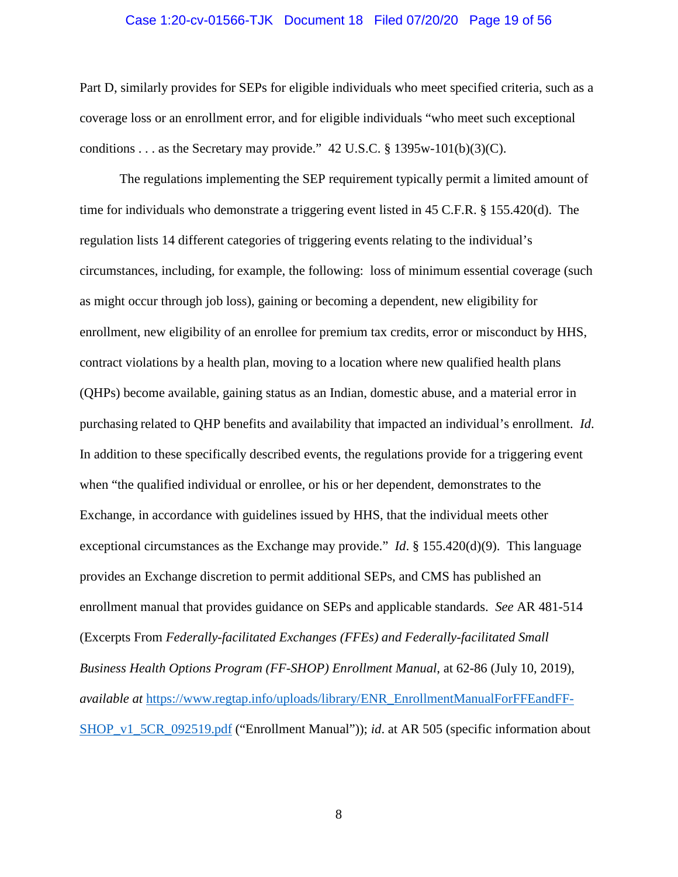#### Case 1:20-cv-01566-TJK Document 18 Filed 07/20/20 Page 19 of 56

Part D, similarly provides for SEPs for eligible individuals who meet specified criteria, such as a coverage loss or an enrollment error, and for eligible individuals "who meet such exceptional conditions . . . as the Secretary may provide."  $42 \text{ U.S.C.} \$   $1395 \text{w} \text{-} 101 \text{(b)} \text{(3)} \text{(C)}$ .

The regulations implementing the SEP requirement typically permit a limited amount of time for individuals who demonstrate a triggering event listed in 45 C.F.R. § 155.420(d). The regulation lists 14 different categories of triggering events relating to the individual's circumstances, including, for example, the following: loss of minimum essential coverage (such as might occur through job loss), gaining or becoming a dependent, new eligibility for enrollment, new eligibility of an enrollee for premium tax credits, error or misconduct by HHS, contract violations by a health plan, moving to a location where new qualified health plans (QHPs) become available, gaining status as an Indian, domestic abuse, and a material error in purchasing related to QHP benefits and availability that impacted an individual's enrollment. *Id*. In addition to these specifically described events, the regulations provide for a triggering event when "the qualified individual or enrollee, or his or her dependent, demonstrates to the Exchange, in accordance with guidelines issued by HHS, that the individual meets other exceptional circumstances as the Exchange may provide." *Id*. § 155.420(d)(9). This language provides an Exchange discretion to permit additional SEPs, and CMS has published an enrollment manual that provides guidance on SEPs and applicable standards. *See* AR 481-514 (Excerpts From *Federally-facilitated Exchanges (FFEs) and Federally-facilitated Small Business Health Options Program (FF-SHOP) Enrollment Manual*, at 62-86 (July 10, 2019), *available at* https://www.regtap.info/uploads/library/ENR\_EnrollmentManualForFFEandFF-SHOP\_v1\_5CR\_092519.pdf ("Enrollment Manual")); *id*. at AR 505 (specific information about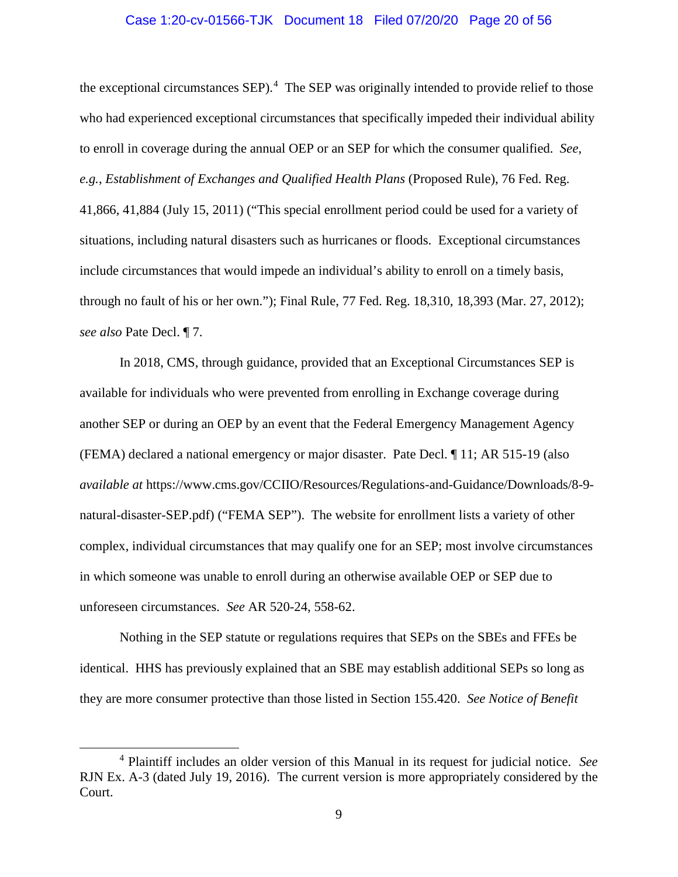#### Case 1:20-cv-01566-TJK Document 18 Filed 07/20/20 Page 20 of 56

the exceptional circumstances SEP).<sup>4</sup> The SEP was originally intended to provide relief to those who had experienced exceptional circumstances that specifically impeded their individual ability to enroll in coverage during the annual OEP or an SEP for which the consumer qualified. *See, e.g.*, *Establishment of Exchanges and Qualified Health Plans* (Proposed Rule), 76 Fed. Reg. 41,866, 41,884 (July 15, 2011) ("This special enrollment period could be used for a variety of situations, including natural disasters such as hurricanes or floods. Exceptional circumstances include circumstances that would impede an individual's ability to enroll on a timely basis, through no fault of his or her own."); Final Rule, 77 Fed. Reg. 18,310, 18,393 (Mar. 27, 2012); *see also* Pate Decl. ¶ 7.

In 2018, CMS, through guidance, provided that an Exceptional Circumstances SEP is available for individuals who were prevented from enrolling in Exchange coverage during another SEP or during an OEP by an event that the Federal Emergency Management Agency (FEMA) declared a national emergency or major disaster. Pate Decl. ¶ 11; AR 515-19 (also *available at* https://www.cms.gov/CCIIO/Resources/Regulations-and-Guidance/Downloads/8-9 natural-disaster-SEP.pdf) ("FEMA SEP"). The website for enrollment lists a variety of other complex, individual circumstances that may qualify one for an SEP; most involve circumstances in which someone was unable to enroll during an otherwise available OEP or SEP due to unforeseen circumstances. *See* AR 520-24, 558-62.

Nothing in the SEP statute or regulations requires that SEPs on the SBEs and FFEs be identical. HHS has previously explained that an SBE may establish additional SEPs so long as they are more consumer protective than those listed in Section 155.420. *See Notice of Benefit* 

 $\overline{a}$ 

<sup>4</sup> Plaintiff includes an older version of this Manual in its request for judicial notice. *See* RJN Ex. A-3 (dated July 19, 2016). The current version is more appropriately considered by the Court.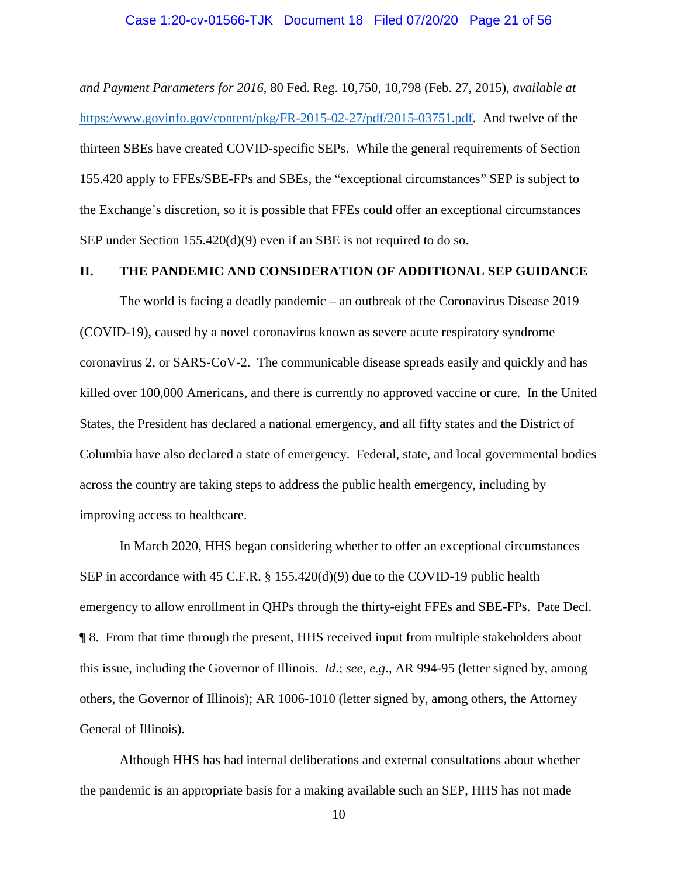*and Payment Parameters for 2016*, 80 Fed. Reg. 10,750, 10,798 (Feb. 27, 2015), *available at*  https:/www.govinfo.gov/content/pkg/FR-2015-02-27/pdf/2015-03751.pdf. And twelve of the thirteen SBEs have created COVID-specific SEPs. While the general requirements of Section 155.420 apply to FFEs/SBE-FPs and SBEs, the "exceptional circumstances" SEP is subject to the Exchange's discretion, so it is possible that FFEs could offer an exceptional circumstances SEP under Section 155.420(d)(9) even if an SBE is not required to do so.

#### **II. THE PANDEMIC AND CONSIDERATION OF ADDITIONAL SEP GUIDANCE**

 The world is facing a deadly pandemic – an outbreak of the Coronavirus Disease 2019 (COVID-19), caused by a novel coronavirus known as severe acute respiratory syndrome coronavirus 2, or SARS-CoV-2. The communicable disease spreads easily and quickly and has killed over 100,000 Americans, and there is currently no approved vaccine or cure. In the United States, the President has declared a national emergency, and all fifty states and the District of Columbia have also declared a state of emergency. Federal, state, and local governmental bodies across the country are taking steps to address the public health emergency, including by improving access to healthcare.

In March 2020, HHS began considering whether to offer an exceptional circumstances SEP in accordance with 45 C.F.R. § 155.420(d)(9) due to the COVID-19 public health emergency to allow enrollment in QHPs through the thirty-eight FFEs and SBE-FPs. Pate Decl. ¶ 8. From that time through the present, HHS received input from multiple stakeholders about this issue, including the Governor of Illinois. *Id*.; *see, e.g*., AR 994-95 (letter signed by, among others, the Governor of Illinois); AR 1006-1010 (letter signed by, among others, the Attorney General of Illinois).

Although HHS has had internal deliberations and external consultations about whether the pandemic is an appropriate basis for a making available such an SEP, HHS has not made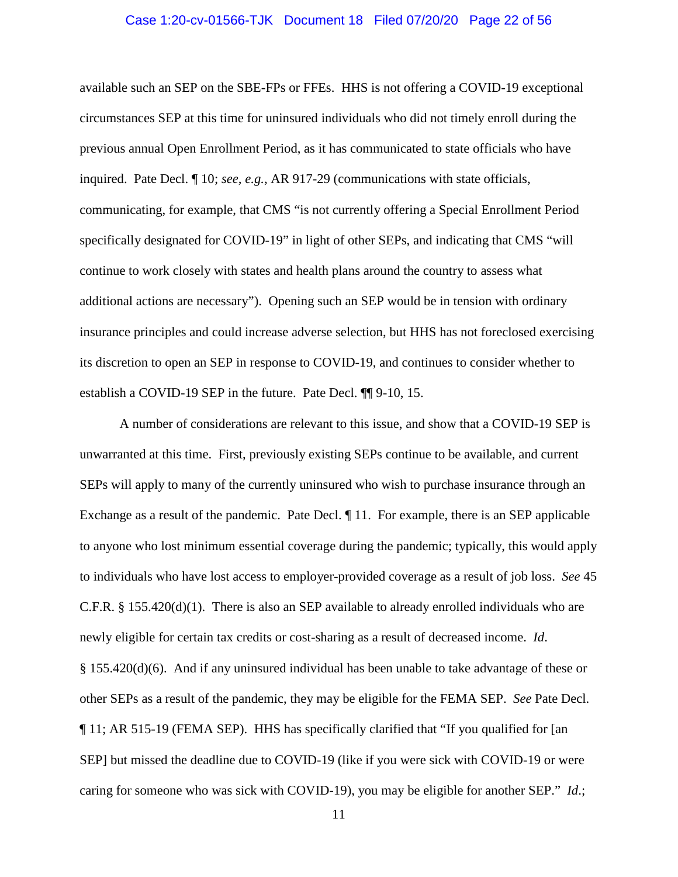#### Case 1:20-cv-01566-TJK Document 18 Filed 07/20/20 Page 22 of 56

available such an SEP on the SBE-FPs or FFEs. HHS is not offering a COVID-19 exceptional circumstances SEP at this time for uninsured individuals who did not timely enroll during the previous annual Open Enrollment Period, as it has communicated to state officials who have inquired. Pate Decl. ¶ 10; *see, e.g.*, AR 917-29 (communications with state officials, communicating, for example, that CMS "is not currently offering a Special Enrollment Period specifically designated for COVID-19" in light of other SEPs, and indicating that CMS "will continue to work closely with states and health plans around the country to assess what additional actions are necessary"). Opening such an SEP would be in tension with ordinary insurance principles and could increase adverse selection, but HHS has not foreclosed exercising its discretion to open an SEP in response to COVID-19, and continues to consider whether to establish a COVID-19 SEP in the future. Pate Decl. ¶¶ 9-10, 15.

A number of considerations are relevant to this issue, and show that a COVID-19 SEP is unwarranted at this time. First, previously existing SEPs continue to be available, and current SEPs will apply to many of the currently uninsured who wish to purchase insurance through an Exchange as a result of the pandemic. Pate Decl. ¶ 11. For example, there is an SEP applicable to anyone who lost minimum essential coverage during the pandemic; typically, this would apply to individuals who have lost access to employer-provided coverage as a result of job loss. *See* 45 C.F.R. § 155.420(d)(1). There is also an SEP available to already enrolled individuals who are newly eligible for certain tax credits or cost-sharing as a result of decreased income. *Id*. § 155.420(d)(6). And if any uninsured individual has been unable to take advantage of these or other SEPs as a result of the pandemic, they may be eligible for the FEMA SEP. *See* Pate Decl. ¶ 11; AR 515-19 (FEMA SEP). HHS has specifically clarified that "If you qualified for [an SEP] but missed the deadline due to COVID-19 (like if you were sick with COVID-19 or were caring for someone who was sick with COVID-19), you may be eligible for another SEP." *Id*.;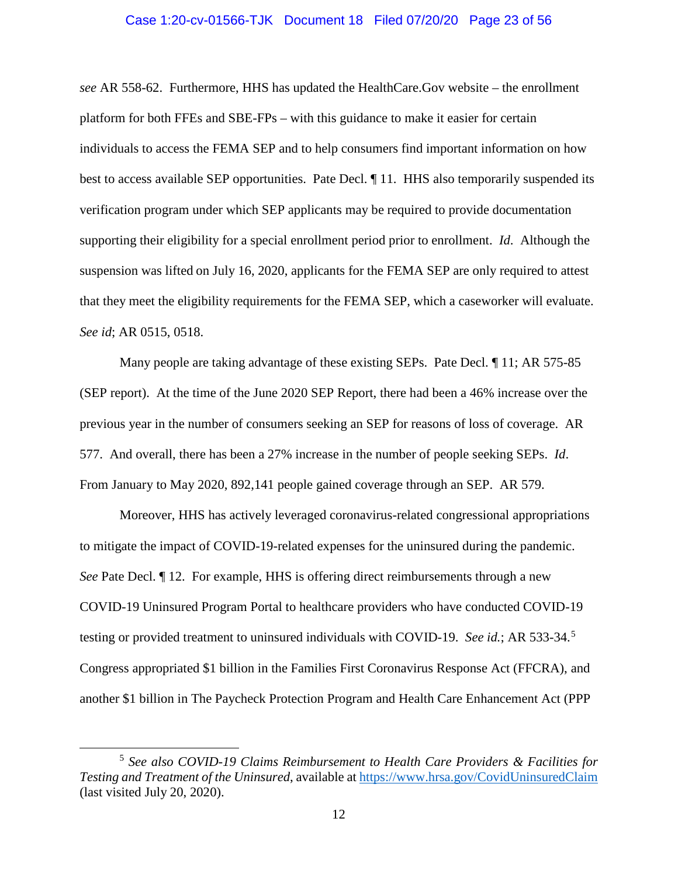#### Case 1:20-cv-01566-TJK Document 18 Filed 07/20/20 Page 23 of 56

*see* AR 558-62. Furthermore, HHS has updated the HealthCare.Gov website – the enrollment platform for both FFEs and SBE-FPs – with this guidance to make it easier for certain individuals to access the FEMA SEP and to help consumers find important information on how best to access available SEP opportunities. Pate Decl. ¶ 11. HHS also temporarily suspended its verification program under which SEP applicants may be required to provide documentation supporting their eligibility for a special enrollment period prior to enrollment. *Id*. Although the suspension was lifted on July 16, 2020, applicants for the FEMA SEP are only required to attest that they meet the eligibility requirements for the FEMA SEP, which a caseworker will evaluate. *See id*; AR 0515, 0518.

Many people are taking advantage of these existing SEPs. Pate Decl. ¶ 11; AR 575-85 (SEP report). At the time of the June 2020 SEP Report, there had been a 46% increase over the previous year in the number of consumers seeking an SEP for reasons of loss of coverage. AR 577. And overall, there has been a 27% increase in the number of people seeking SEPs. *Id*. From January to May 2020, 892,141 people gained coverage through an SEP. AR 579.

Moreover, HHS has actively leveraged coronavirus-related congressional appropriations to mitigate the impact of COVID-19-related expenses for the uninsured during the pandemic. *See* Pate Decl. *[12. For example, HHS is offering direct reimbursements through a new* COVID-19 Uninsured Program Portal to healthcare providers who have conducted COVID-19 testing or provided treatment to uninsured individuals with COVID-19. *See id.*; AR 533-34.<sup>5</sup> Congress appropriated \$1 billion in the Families First Coronavirus Response Act (FFCRA), and another \$1 billion in The Paycheck Protection Program and Health Care Enhancement Act (PPP

 $\overline{a}$ 

<sup>5</sup> *See also COVID-19 Claims Reimbursement to Health Care Providers & Facilities for Testing and Treatment of the Uninsured*, available at https://www.hrsa.gov/CovidUninsuredClaim (last visited July 20, 2020).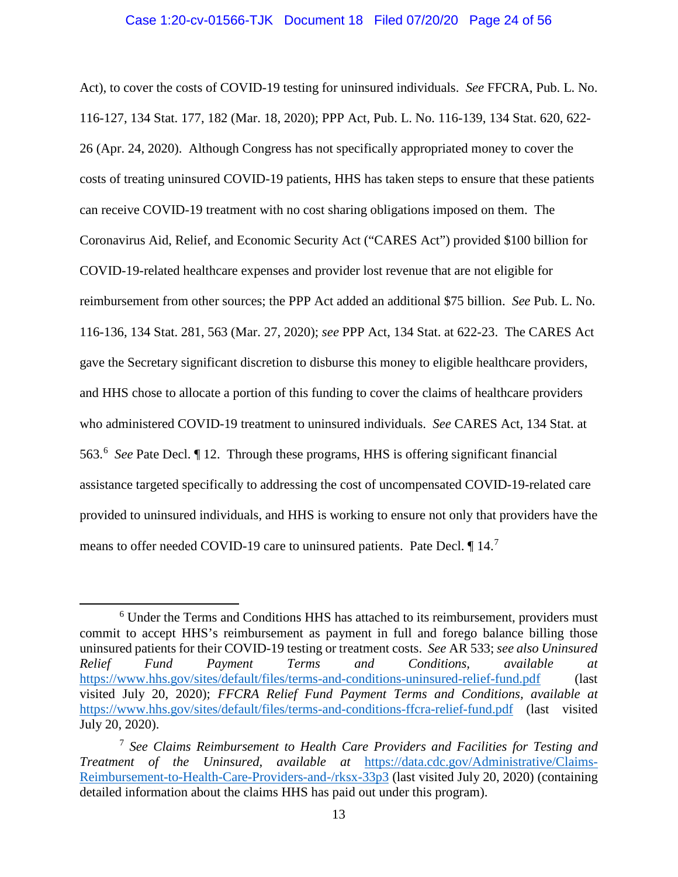Act), to cover the costs of COVID-19 testing for uninsured individuals. *See* FFCRA, Pub. L. No. 116-127, 134 Stat. 177, 182 (Mar. 18, 2020); PPP Act, Pub. L. No. 116-139, 134 Stat. 620, 622- 26 (Apr. 24, 2020). Although Congress has not specifically appropriated money to cover the costs of treating uninsured COVID-19 patients, HHS has taken steps to ensure that these patients can receive COVID-19 treatment with no cost sharing obligations imposed on them. The Coronavirus Aid, Relief, and Economic Security Act ("CARES Act") provided \$100 billion for COVID-19-related healthcare expenses and provider lost revenue that are not eligible for reimbursement from other sources; the PPP Act added an additional \$75 billion. *See* Pub. L. No. 116-136, 134 Stat. 281, 563 (Mar. 27, 2020); *see* PPP Act, 134 Stat. at 622-23. The CARES Act gave the Secretary significant discretion to disburse this money to eligible healthcare providers, and HHS chose to allocate a portion of this funding to cover the claims of healthcare providers who administered COVID-19 treatment to uninsured individuals. *See* CARES Act, 134 Stat. at 563.<sup>6</sup> *See* Pate Decl. ¶ 12. Through these programs, HHS is offering significant financial assistance targeted specifically to addressing the cost of uncompensated COVID-19-related care provided to uninsured individuals, and HHS is working to ensure not only that providers have the means to offer needed COVID-19 care to uninsured patients. Pate Decl. ¶ 14.<sup>7</sup>

<sup>&</sup>lt;sup>6</sup> Under the Terms and Conditions HHS has attached to its reimbursement, providers must commit to accept HHS's reimbursement as payment in full and forego balance billing those uninsured patients for their COVID-19 testing or treatment costs. *See* AR 533; *see also Uninsured Relief Fund Payment Terms and Conditions, available at* https://www.hhs.gov/sites/default/files/terms-and-conditions-uninsured-relief-fund.pdf (last visited July 20, 2020); *FFCRA Relief Fund Payment Terms and Conditions, available at* https://www.hhs.gov/sites/default/files/terms-and-conditions-ffcra-relief-fund.pdf (last visited July 20, 2020).

<sup>7</sup> *See Claims Reimbursement to Health Care Providers and Facilities for Testing and Treatment of the Uninsured, available at* https://data.cdc.gov/Administrative/Claims-Reimbursement-to-Health-Care-Providers-and-/rksx-33p3 (last visited July 20, 2020) (containing detailed information about the claims HHS has paid out under this program).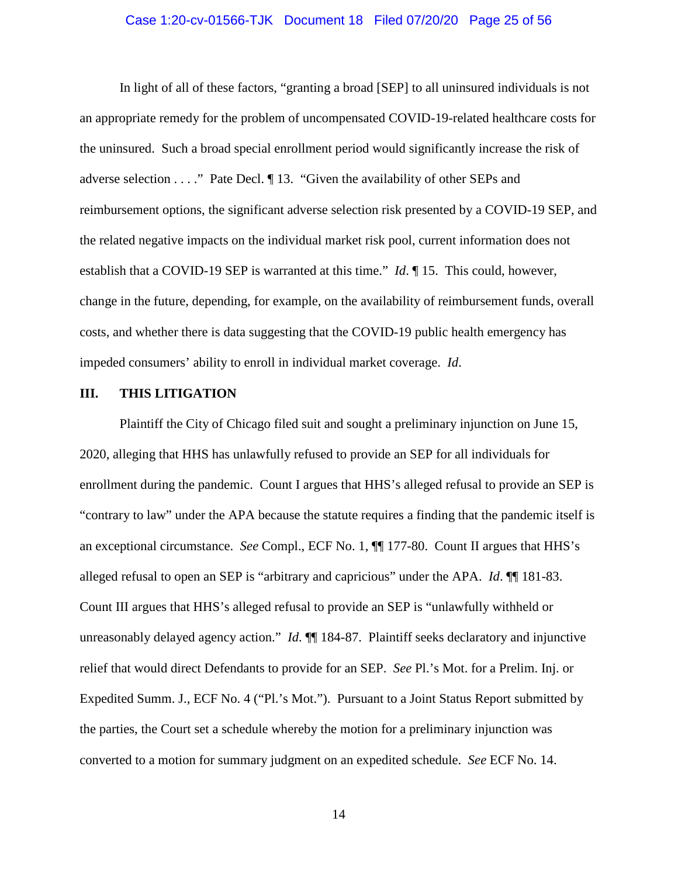#### Case 1:20-cv-01566-TJK Document 18 Filed 07/20/20 Page 25 of 56

In light of all of these factors, "granting a broad [SEP] to all uninsured individuals is not an appropriate remedy for the problem of uncompensated COVID-19-related healthcare costs for the uninsured. Such a broad special enrollment period would significantly increase the risk of adverse selection . . . ." Pate Decl. ¶ 13. "Given the availability of other SEPs and reimbursement options, the significant adverse selection risk presented by a COVID-19 SEP, and the related negative impacts on the individual market risk pool, current information does not establish that a COVID-19 SEP is warranted at this time." *Id*. ¶ 15. This could, however, change in the future, depending, for example, on the availability of reimbursement funds, overall costs, and whether there is data suggesting that the COVID-19 public health emergency has impeded consumers' ability to enroll in individual market coverage. *Id*.

#### **III. THIS LITIGATION**

Plaintiff the City of Chicago filed suit and sought a preliminary injunction on June 15, 2020, alleging that HHS has unlawfully refused to provide an SEP for all individuals for enrollment during the pandemic. Count I argues that HHS's alleged refusal to provide an SEP is "contrary to law" under the APA because the statute requires a finding that the pandemic itself is an exceptional circumstance. *See* Compl., ECF No. 1, ¶¶ 177-80. Count II argues that HHS's alleged refusal to open an SEP is "arbitrary and capricious" under the APA. *Id*. ¶¶ 181-83. Count III argues that HHS's alleged refusal to provide an SEP is "unlawfully withheld or unreasonably delayed agency action." *Id*. ¶¶ 184-87. Plaintiff seeks declaratory and injunctive relief that would direct Defendants to provide for an SEP. *See* Pl.'s Mot. for a Prelim. Inj. or Expedited Summ. J., ECF No. 4 ("Pl.'s Mot."). Pursuant to a Joint Status Report submitted by the parties, the Court set a schedule whereby the motion for a preliminary injunction was converted to a motion for summary judgment on an expedited schedule. *See* ECF No. 14.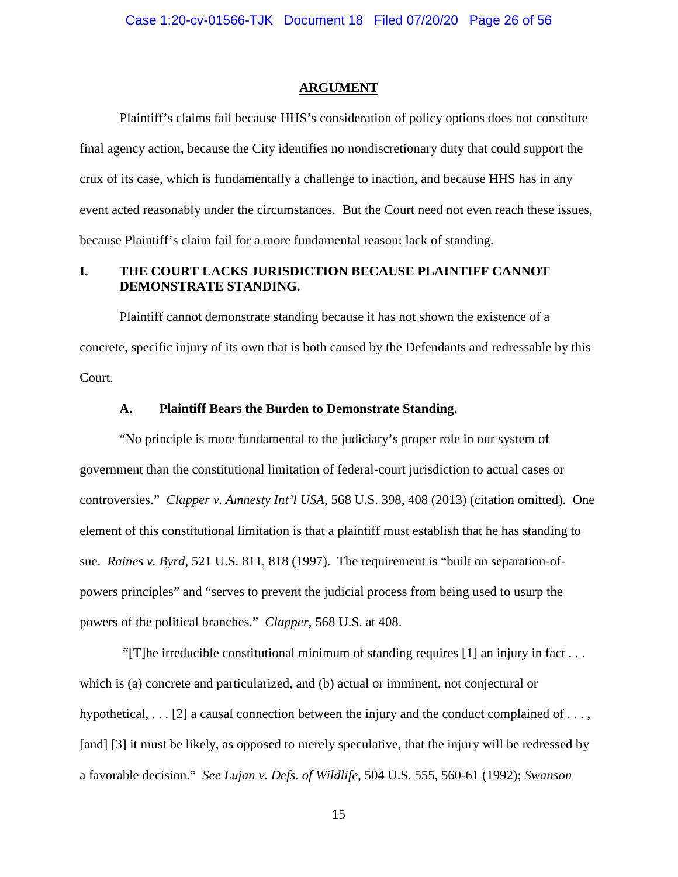#### **ARGUMENT**

Plaintiff's claims fail because HHS's consideration of policy options does not constitute final agency action, because the City identifies no nondiscretionary duty that could support the crux of its case, which is fundamentally a challenge to inaction, and because HHS has in any event acted reasonably under the circumstances. But the Court need not even reach these issues, because Plaintiff's claim fail for a more fundamental reason: lack of standing.

# **I. THE COURT LACKS JURISDICTION BECAUSE PLAINTIFF CANNOT DEMONSTRATE STANDING.**

Plaintiff cannot demonstrate standing because it has not shown the existence of a concrete, specific injury of its own that is both caused by the Defendants and redressable by this Court.

#### **A. Plaintiff Bears the Burden to Demonstrate Standing.**

"No principle is more fundamental to the judiciary's proper role in our system of government than the constitutional limitation of federal-court jurisdiction to actual cases or controversies." *Clapper v. Amnesty Int'l USA*, 568 U.S. 398, 408 (2013) (citation omitted). One element of this constitutional limitation is that a plaintiff must establish that he has standing to sue. *Raines v. Byrd*, 521 U.S. 811, 818 (1997). The requirement is "built on separation-ofpowers principles" and "serves to prevent the judicial process from being used to usurp the powers of the political branches." *Clapper*, 568 U.S. at 408.

"[T]he irreducible constitutional minimum of standing requires [1] an injury in fact . . . which is (a) concrete and particularized, and (b) actual or imminent, not conjectural or hypothetical, . . . [2] a causal connection between the injury and the conduct complained of . . . , [and] [3] it must be likely, as opposed to merely speculative, that the injury will be redressed by a favorable decision." *See Lujan v. Defs. of Wildlife*, 504 U.S. 555, 560-61 (1992); *Swanson*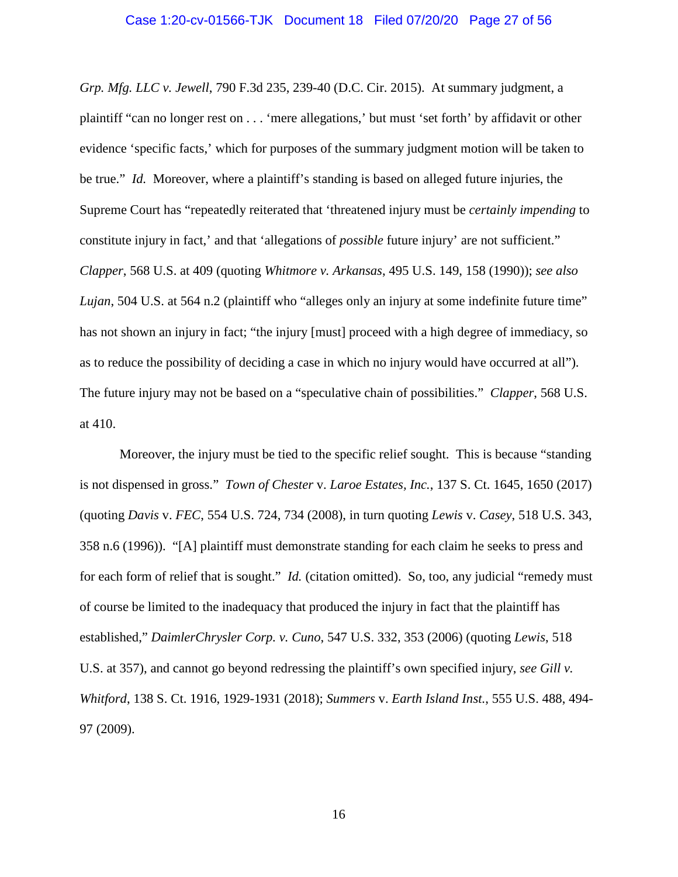*Grp. Mfg. LLC v. Jewell*, 790 F.3d 235, 239-40 (D.C. Cir. 2015). At summary judgment, a plaintiff "can no longer rest on . . . 'mere allegations,' but must 'set forth' by affidavit or other evidence 'specific facts,' which for purposes of the summary judgment motion will be taken to be true." *Id.* Moreover, where a plaintiff's standing is based on alleged future injuries, the Supreme Court has "repeatedly reiterated that 'threatened injury must be *certainly impending* to constitute injury in fact,' and that 'allegations of *possible* future injury' are not sufficient." *Clapper*, 568 U.S. at 409 (quoting *Whitmore v. Arkansas*, 495 U.S. 149, 158 (1990)); *see also Lujan*, 504 U.S. at 564 n.2 (plaintiff who "alleges only an injury at some indefinite future time" has not shown an injury in fact; "the injury [must] proceed with a high degree of immediacy, so as to reduce the possibility of deciding a case in which no injury would have occurred at all"). The future injury may not be based on a "speculative chain of possibilities." *Clapper*, 568 U.S. at 410.

Moreover, the injury must be tied to the specific relief sought. This is because "standing is not dispensed in gross." *Town of Chester* v. *Laroe Estates, Inc.*, 137 S. Ct. 1645, 1650 (2017) (quoting *Davis* v. *FEC*, 554 U.S. 724, 734 (2008), in turn quoting *Lewis* v. *Casey*, 518 U.S. 343, 358 n.6 (1996)). "[A] plaintiff must demonstrate standing for each claim he seeks to press and for each form of relief that is sought." *Id.* (citation omitted). So, too, any judicial "remedy must" of course be limited to the inadequacy that produced the injury in fact that the plaintiff has established," *DaimlerChrysler Corp. v. Cuno*, 547 U.S. 332, 353 (2006) (quoting *Lewis*, 518 U.S. at 357), and cannot go beyond redressing the plaintiff's own specified injury, *see Gill v. Whitford*, 138 S. Ct. 1916, 1929-1931 (2018); *Summers* v. *Earth Island Inst.*, 555 U.S. 488, 494- 97 (2009).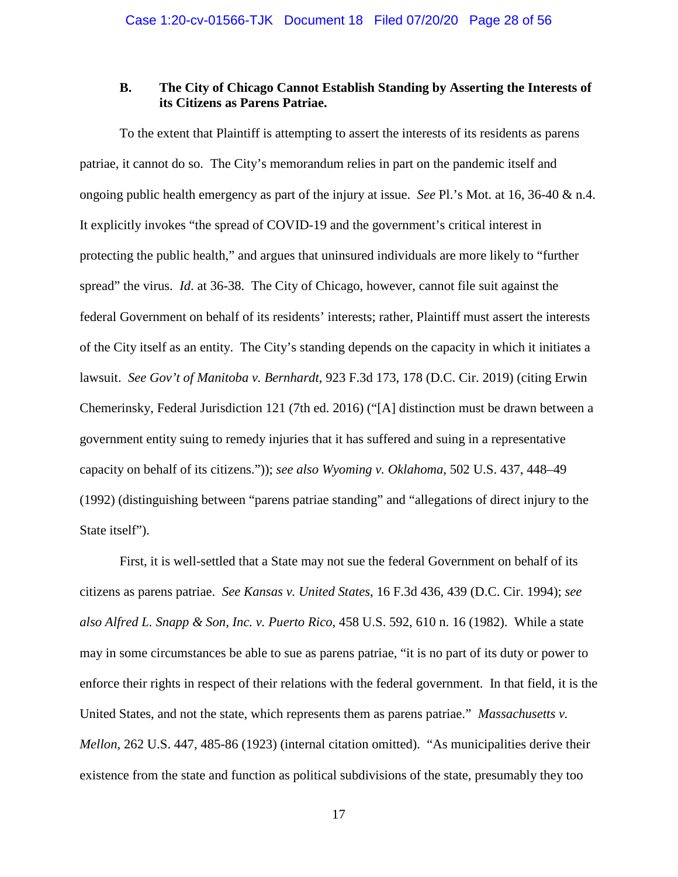## **B. The City of Chicago Cannot Establish Standing by Asserting the Interests of its Citizens as Parens Patriae.**

To the extent that Plaintiff is attempting to assert the interests of its residents as parens patriae, it cannot do so. The City's memorandum relies in part on the pandemic itself and ongoing public health emergency as part of the injury at issue. *See* Pl.'s Mot. at 16, 36-40 & n.4. It explicitly invokes "the spread of COVID-19 and the government's critical interest in protecting the public health," and argues that uninsured individuals are more likely to "further spread" the virus. *Id*. at 36-38. The City of Chicago, however, cannot file suit against the federal Government on behalf of its residents' interests; rather, Plaintiff must assert the interests of the City itself as an entity. The City's standing depends on the capacity in which it initiates a lawsuit. *See Gov't of Manitoba v. Bernhardt*, 923 F.3d 173, 178 (D.C. Cir. 2019) (citing Erwin Chemerinsky, Federal Jurisdiction 121 (7th ed. 2016) ("[A] distinction must be drawn between a government entity suing to remedy injuries that it has suffered and suing in a representative capacity on behalf of its citizens.")); *see also Wyoming v. Oklahoma*, 502 U.S. 437, 448–49 (1992) (distinguishing between "parens patriae standing" and "allegations of direct injury to the State itself").

First, it is well-settled that a State may not sue the federal Government on behalf of its citizens as parens patriae. *See Kansas v. United States*, 16 F.3d 436, 439 (D.C. Cir. 1994); *see also Alfred L. Snapp & Son, Inc. v. Puerto Rico*, 458 U.S. 592, 610 n. 16 (1982). While a state may in some circumstances be able to sue as parens patriae, "it is no part of its duty or power to enforce their rights in respect of their relations with the federal government. In that field, it is the United States, and not the state, which represents them as parens patriae." *Massachusetts v. Mellon*, 262 U.S. 447, 485-86 (1923) (internal citation omitted). "As municipalities derive their existence from the state and function as political subdivisions of the state, presumably they too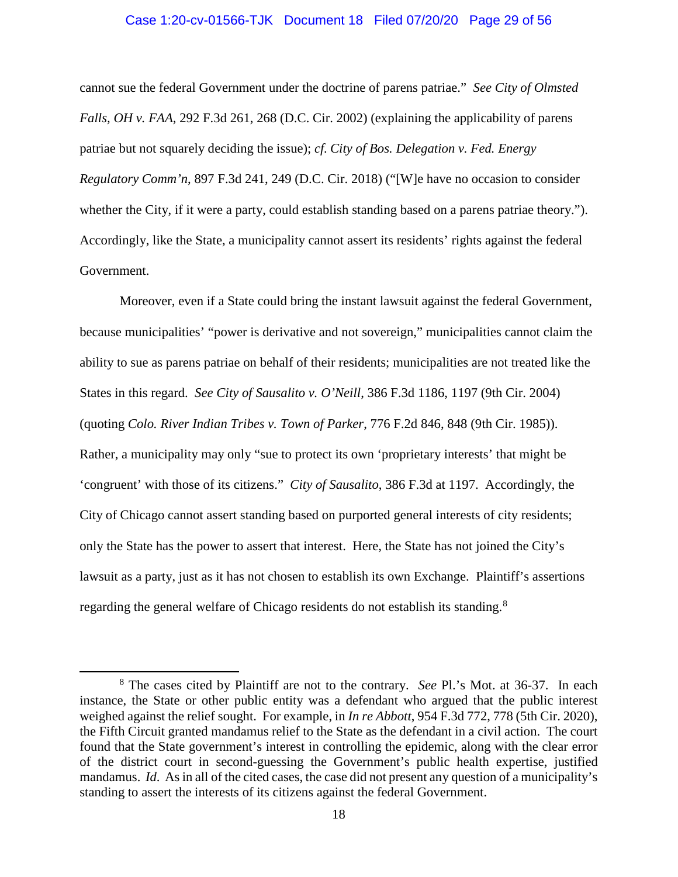#### Case 1:20-cv-01566-TJK Document 18 Filed 07/20/20 Page 29 of 56

cannot sue the federal Government under the doctrine of parens patriae." *See City of Olmsted Falls, OH v. FAA*, 292 F.3d 261, 268 (D.C. Cir. 2002) (explaining the applicability of parens patriae but not squarely deciding the issue); *cf. City of Bos. Delegation v. Fed. Energy Regulatory Comm'n*, 897 F.3d 241, 249 (D.C. Cir. 2018) ("[W]e have no occasion to consider whether the City, if it were a party, could establish standing based on a parens patriae theory."). Accordingly, like the State, a municipality cannot assert its residents' rights against the federal Government.

Moreover, even if a State could bring the instant lawsuit against the federal Government, because municipalities' "power is derivative and not sovereign," municipalities cannot claim the ability to sue as parens patriae on behalf of their residents; municipalities are not treated like the States in this regard. *See City of Sausalito v. O'Neill*, 386 F.3d 1186, 1197 (9th Cir. 2004) (quoting *Colo. River Indian Tribes v. Town of Parker*, 776 F.2d 846, 848 (9th Cir. 1985)). Rather, a municipality may only "sue to protect its own 'proprietary interests' that might be 'congruent' with those of its citizens." *City of Sausalito*, 386 F.3d at 1197. Accordingly, the City of Chicago cannot assert standing based on purported general interests of city residents; only the State has the power to assert that interest. Here, the State has not joined the City's lawsuit as a party, just as it has not chosen to establish its own Exchange. Plaintiff's assertions regarding the general welfare of Chicago residents do not establish its standing.<sup>8</sup>

 $\overline{a}$ 

<sup>8</sup> The cases cited by Plaintiff are not to the contrary. *See* Pl.'s Mot. at 36-37. In each instance, the State or other public entity was a defendant who argued that the public interest weighed against the relief sought. For example, in *In re Abbott*, 954 F.3d 772, 778 (5th Cir. 2020), the Fifth Circuit granted mandamus relief to the State as the defendant in a civil action. The court found that the State government's interest in controlling the epidemic, along with the clear error of the district court in second-guessing the Government's public health expertise, justified mandamus. *Id*. As in all of the cited cases, the case did not present any question of a municipality's standing to assert the interests of its citizens against the federal Government.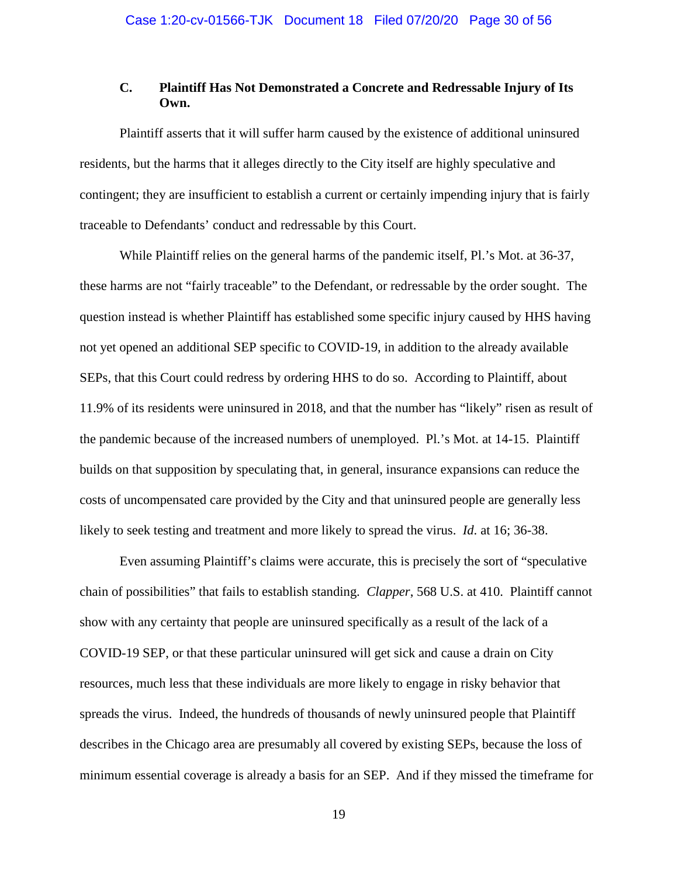# **C. Plaintiff Has Not Demonstrated a Concrete and Redressable Injury of Its Own.**

Plaintiff asserts that it will suffer harm caused by the existence of additional uninsured residents, but the harms that it alleges directly to the City itself are highly speculative and contingent; they are insufficient to establish a current or certainly impending injury that is fairly traceable to Defendants' conduct and redressable by this Court.

While Plaintiff relies on the general harms of the pandemic itself, Pl.'s Mot. at 36-37, these harms are not "fairly traceable" to the Defendant, or redressable by the order sought. The question instead is whether Plaintiff has established some specific injury caused by HHS having not yet opened an additional SEP specific to COVID-19, in addition to the already available SEPs, that this Court could redress by ordering HHS to do so. According to Plaintiff, about 11.9% of its residents were uninsured in 2018, and that the number has "likely" risen as result of the pandemic because of the increased numbers of unemployed. Pl.'s Mot. at 14-15. Plaintiff builds on that supposition by speculating that, in general, insurance expansions can reduce the costs of uncompensated care provided by the City and that uninsured people are generally less likely to seek testing and treatment and more likely to spread the virus. *Id*. at 16; 36-38.

Even assuming Plaintiff's claims were accurate, this is precisely the sort of "speculative chain of possibilities" that fails to establish standing. *Clapper*, 568 U.S. at 410. Plaintiff cannot show with any certainty that people are uninsured specifically as a result of the lack of a COVID-19 SEP, or that these particular uninsured will get sick and cause a drain on City resources, much less that these individuals are more likely to engage in risky behavior that spreads the virus. Indeed, the hundreds of thousands of newly uninsured people that Plaintiff describes in the Chicago area are presumably all covered by existing SEPs, because the loss of minimum essential coverage is already a basis for an SEP. And if they missed the timeframe for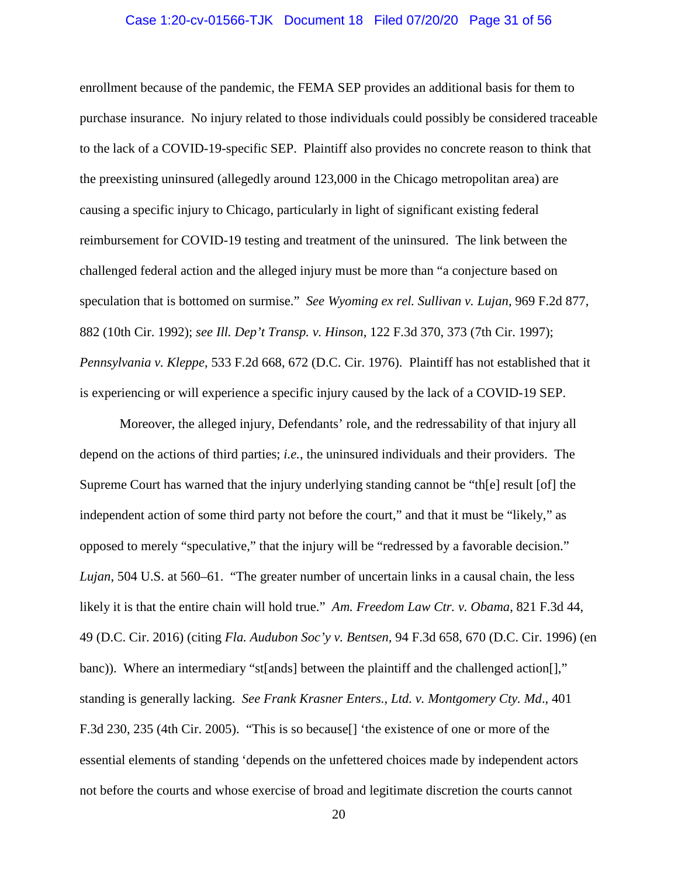#### Case 1:20-cv-01566-TJK Document 18 Filed 07/20/20 Page 31 of 56

enrollment because of the pandemic, the FEMA SEP provides an additional basis for them to purchase insurance. No injury related to those individuals could possibly be considered traceable to the lack of a COVID-19-specific SEP. Plaintiff also provides no concrete reason to think that the preexisting uninsured (allegedly around 123,000 in the Chicago metropolitan area) are causing a specific injury to Chicago, particularly in light of significant existing federal reimbursement for COVID-19 testing and treatment of the uninsured. The link between the challenged federal action and the alleged injury must be more than "a conjecture based on speculation that is bottomed on surmise." *See Wyoming ex rel. Sullivan v. Lujan*, 969 F.2d 877, 882 (10th Cir. 1992); *see Ill. Dep't Transp. v. Hinson*, 122 F.3d 370, 373 (7th Cir. 1997); *Pennsylvania v. Kleppe*, 533 F.2d 668, 672 (D.C. Cir. 1976). Plaintiff has not established that it is experiencing or will experience a specific injury caused by the lack of a COVID-19 SEP.

Moreover, the alleged injury, Defendants' role, and the redressability of that injury all depend on the actions of third parties; *i.e.*, the uninsured individuals and their providers. The Supreme Court has warned that the injury underlying standing cannot be "th[e] result [of] the independent action of some third party not before the court," and that it must be "likely," as opposed to merely "speculative," that the injury will be "redressed by a favorable decision." *Lujan*, 504 U.S. at 560–61. "The greater number of uncertain links in a causal chain, the less likely it is that the entire chain will hold true." *Am. Freedom Law Ctr. v. Obama*, 821 F.3d 44, 49 (D.C. Cir. 2016) (citing *Fla. Audubon Soc'y v. Bentsen,* 94 F.3d 658, 670 (D.C. Cir. 1996) (en banc)). Where an intermediary "st[ands] between the plaintiff and the challenged action[]," standing is generally lacking. *See Frank Krasner Enters., Ltd. v. Montgomery Cty. Md*., 401 F.3d 230, 235 (4th Cir. 2005). "This is so because[] 'the existence of one or more of the essential elements of standing 'depends on the unfettered choices made by independent actors not before the courts and whose exercise of broad and legitimate discretion the courts cannot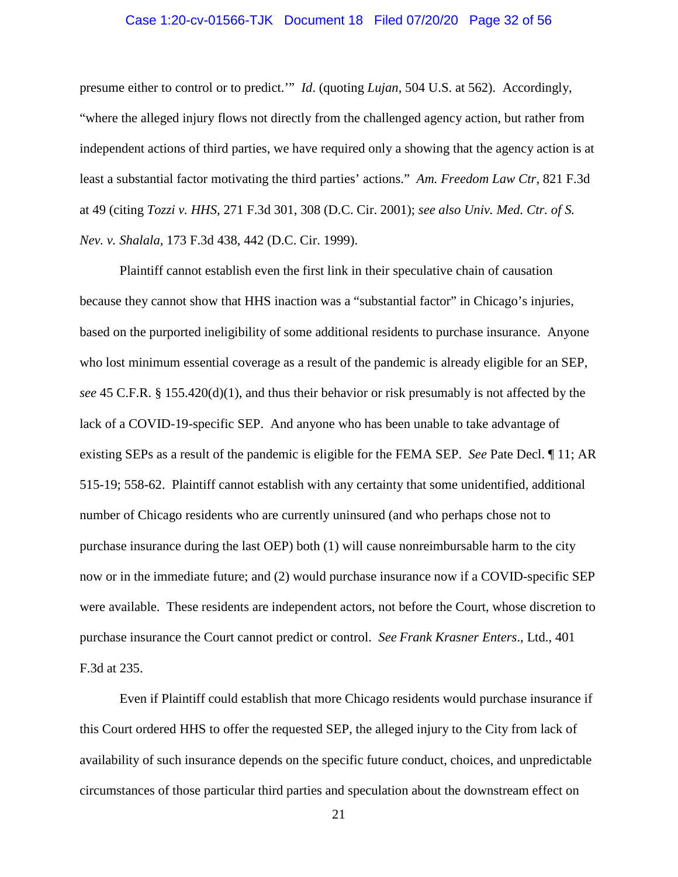#### Case 1:20-cv-01566-TJK Document 18 Filed 07/20/20 Page 32 of 56

presume either to control or to predict.'" *Id*. (quoting *Lujan*, 504 U.S. at 562). Accordingly, "where the alleged injury flows not directly from the challenged agency action, but rather from independent actions of third parties, we have required only a showing that the agency action is at least a substantial factor motivating the third parties' actions." *Am. Freedom Law Ctr*, 821 F.3d at 49 (citing *Tozzi v. HHS,* 271 F.3d 301, 308 (D.C. Cir. 2001); *see also Univ. Med. Ctr. of S. Nev. v. Shalala,* 173 F.3d 438, 442 (D.C. Cir. 1999).

Plaintiff cannot establish even the first link in their speculative chain of causation because they cannot show that HHS inaction was a "substantial factor" in Chicago's injuries, based on the purported ineligibility of some additional residents to purchase insurance. Anyone who lost minimum essential coverage as a result of the pandemic is already eligible for an SEP, *see* 45 C.F.R. § 155.420(d)(1), and thus their behavior or risk presumably is not affected by the lack of a COVID-19-specific SEP. And anyone who has been unable to take advantage of existing SEPs as a result of the pandemic is eligible for the FEMA SEP. *See* Pate Decl. ¶ 11; AR 515-19; 558-62. Plaintiff cannot establish with any certainty that some unidentified, additional number of Chicago residents who are currently uninsured (and who perhaps chose not to purchase insurance during the last OEP) both (1) will cause nonreimbursable harm to the city now or in the immediate future; and (2) would purchase insurance now if a COVID-specific SEP were available. These residents are independent actors, not before the Court, whose discretion to purchase insurance the Court cannot predict or control. *See Frank Krasner Enters*., Ltd., 401 F.3d at 235.

Even if Plaintiff could establish that more Chicago residents would purchase insurance if this Court ordered HHS to offer the requested SEP, the alleged injury to the City from lack of availability of such insurance depends on the specific future conduct, choices, and unpredictable circumstances of those particular third parties and speculation about the downstream effect on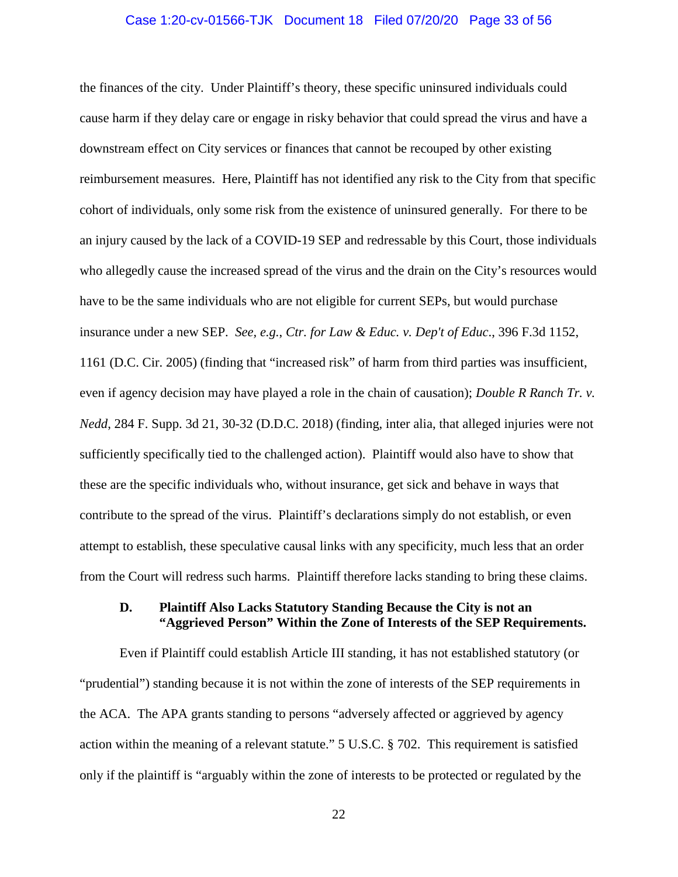#### Case 1:20-cv-01566-TJK Document 18 Filed 07/20/20 Page 33 of 56

the finances of the city. Under Plaintiff's theory, these specific uninsured individuals could cause harm if they delay care or engage in risky behavior that could spread the virus and have a downstream effect on City services or finances that cannot be recouped by other existing reimbursement measures. Here, Plaintiff has not identified any risk to the City from that specific cohort of individuals, only some risk from the existence of uninsured generally. For there to be an injury caused by the lack of a COVID-19 SEP and redressable by this Court, those individuals who allegedly cause the increased spread of the virus and the drain on the City's resources would have to be the same individuals who are not eligible for current SEPs, but would purchase insurance under a new SEP. *See, e.g.*, *Ctr. for Law & Educ. v. Dep't of Educ*., 396 F.3d 1152, 1161 (D.C. Cir. 2005) (finding that "increased risk" of harm from third parties was insufficient, even if agency decision may have played a role in the chain of causation); *Double R Ranch Tr. v. Nedd*, 284 F. Supp. 3d 21, 30-32 (D.D.C. 2018) (finding, inter alia, that alleged injuries were not sufficiently specifically tied to the challenged action). Plaintiff would also have to show that these are the specific individuals who, without insurance, get sick and behave in ways that contribute to the spread of the virus. Plaintiff's declarations simply do not establish, or even attempt to establish, these speculative causal links with any specificity, much less that an order from the Court will redress such harms. Plaintiff therefore lacks standing to bring these claims.

## **D. Plaintiff Also Lacks Statutory Standing Because the City is not an "Aggrieved Person" Within the Zone of Interests of the SEP Requirements.**

Even if Plaintiff could establish Article III standing, it has not established statutory (or "prudential") standing because it is not within the zone of interests of the SEP requirements in the ACA. The APA grants standing to persons "adversely affected or aggrieved by agency action within the meaning of a relevant statute." 5 U.S.C. § 702. This requirement is satisfied only if the plaintiff is "arguably within the zone of interests to be protected or regulated by the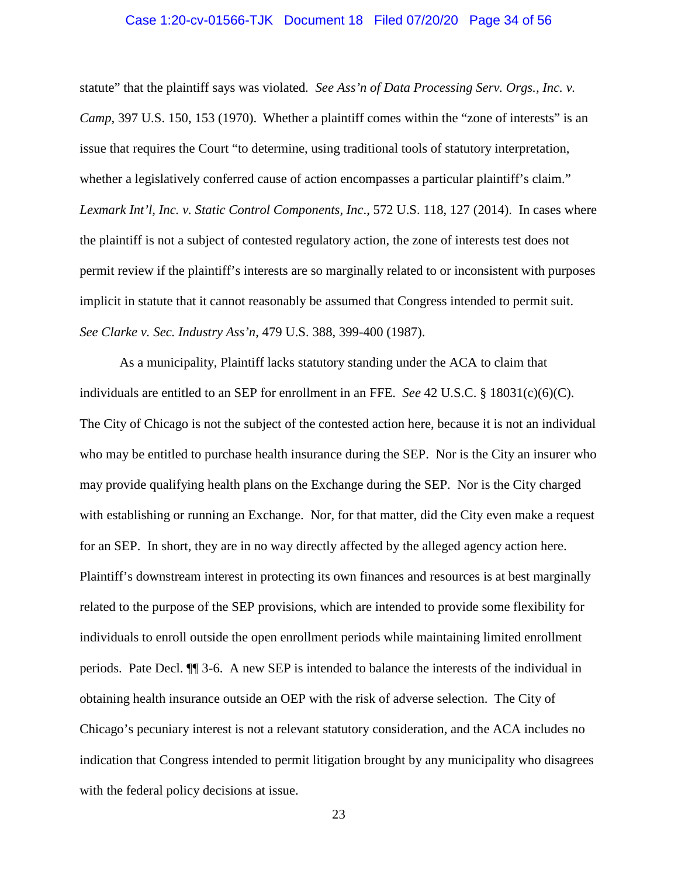#### Case 1:20-cv-01566-TJK Document 18 Filed 07/20/20 Page 34 of 56

statute" that the plaintiff says was violated*. See Ass'n of Data Processing Serv. Orgs., Inc. v. Camp*, 397 U.S. 150, 153 (1970). Whether a plaintiff comes within the "zone of interests" is an issue that requires the Court "to determine, using traditional tools of statutory interpretation, whether a legislatively conferred cause of action encompasses a particular plaintiff's claim." *Lexmark Int'l, Inc. v. Static Control Components, Inc*., 572 U.S. 118, 127 (2014). In cases where the plaintiff is not a subject of contested regulatory action, the zone of interests test does not permit review if the plaintiff's interests are so marginally related to or inconsistent with purposes implicit in statute that it cannot reasonably be assumed that Congress intended to permit suit. *See Clarke v. Sec. Industry Ass'n*, 479 U.S. 388, 399-400 (1987).

As a municipality, Plaintiff lacks statutory standing under the ACA to claim that individuals are entitled to an SEP for enrollment in an FFE. *See* 42 U.S.C. § 18031(c)(6)(C). The City of Chicago is not the subject of the contested action here, because it is not an individual who may be entitled to purchase health insurance during the SEP. Nor is the City an insurer who may provide qualifying health plans on the Exchange during the SEP. Nor is the City charged with establishing or running an Exchange. Nor, for that matter, did the City even make a request for an SEP. In short, they are in no way directly affected by the alleged agency action here. Plaintiff's downstream interest in protecting its own finances and resources is at best marginally related to the purpose of the SEP provisions, which are intended to provide some flexibility for individuals to enroll outside the open enrollment periods while maintaining limited enrollment periods. Pate Decl. ¶¶ 3-6. A new SEP is intended to balance the interests of the individual in obtaining health insurance outside an OEP with the risk of adverse selection. The City of Chicago's pecuniary interest is not a relevant statutory consideration, and the ACA includes no indication that Congress intended to permit litigation brought by any municipality who disagrees with the federal policy decisions at issue.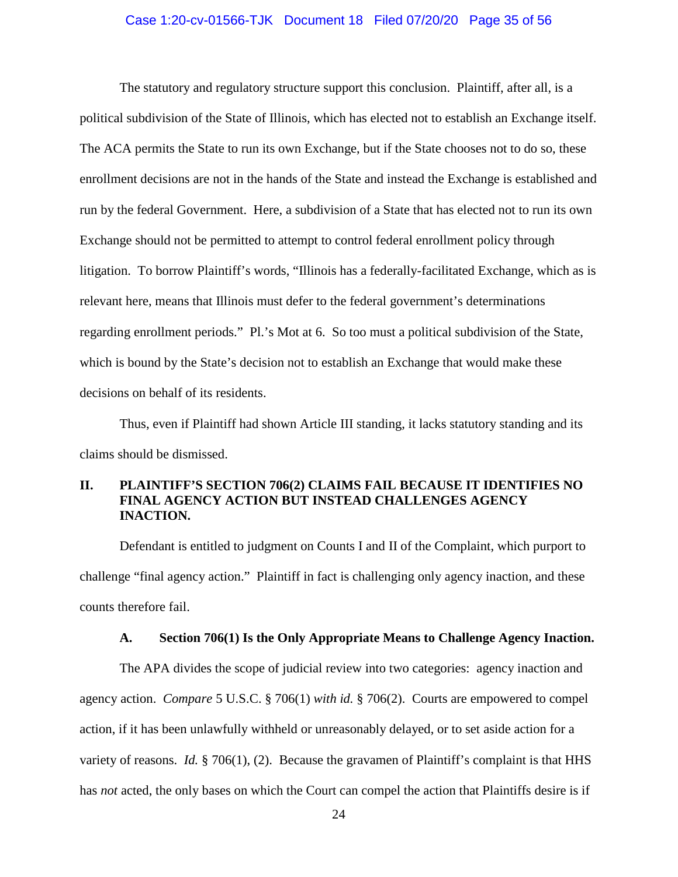#### Case 1:20-cv-01566-TJK Document 18 Filed 07/20/20 Page 35 of 56

The statutory and regulatory structure support this conclusion. Plaintiff, after all, is a political subdivision of the State of Illinois, which has elected not to establish an Exchange itself. The ACA permits the State to run its own Exchange, but if the State chooses not to do so, these enrollment decisions are not in the hands of the State and instead the Exchange is established and run by the federal Government. Here, a subdivision of a State that has elected not to run its own Exchange should not be permitted to attempt to control federal enrollment policy through litigation. To borrow Plaintiff's words, "Illinois has a federally-facilitated Exchange, which as is relevant here, means that Illinois must defer to the federal government's determinations regarding enrollment periods." Pl.'s Mot at 6. So too must a political subdivision of the State, which is bound by the State's decision not to establish an Exchange that would make these decisions on behalf of its residents.

Thus, even if Plaintiff had shown Article III standing, it lacks statutory standing and its claims should be dismissed.

# **II. PLAINTIFF'S SECTION 706(2) CLAIMS FAIL BECAUSE IT IDENTIFIES NO FINAL AGENCY ACTION BUT INSTEAD CHALLENGES AGENCY INACTION.**

Defendant is entitled to judgment on Counts I and II of the Complaint, which purport to challenge "final agency action." Plaintiff in fact is challenging only agency inaction, and these counts therefore fail.

#### **A. Section 706(1) Is the Only Appropriate Means to Challenge Agency Inaction.**

The APA divides the scope of judicial review into two categories: agency inaction and agency action. *Compare* 5 U.S.C. § 706(1) *with id.* § 706(2). Courts are empowered to compel action, if it has been unlawfully withheld or unreasonably delayed, or to set aside action for a variety of reasons. *Id.* § 706(1), (2). Because the gravamen of Plaintiff's complaint is that HHS has *not* acted, the only bases on which the Court can compel the action that Plaintiffs desire is if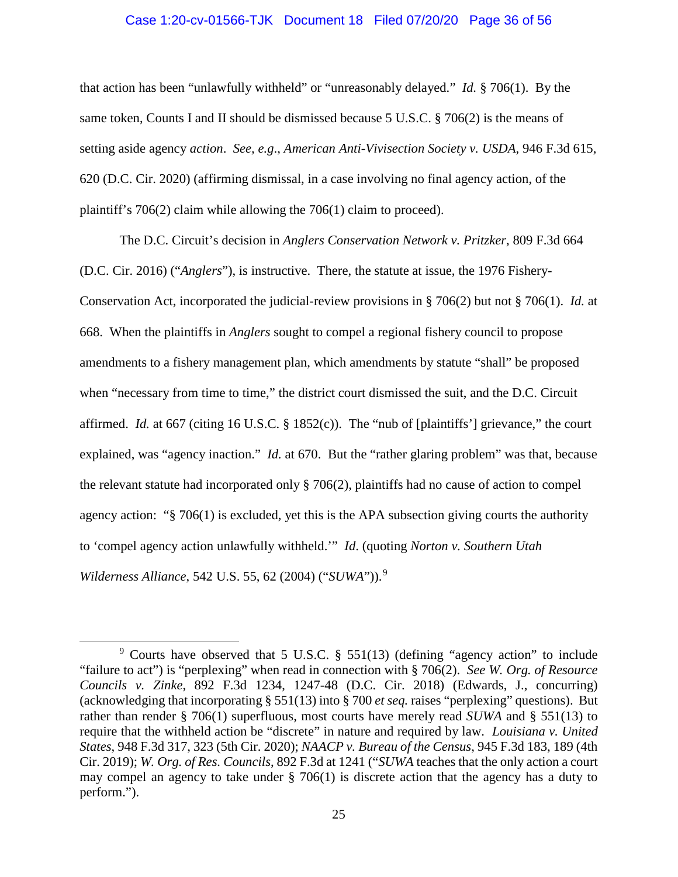#### Case 1:20-cv-01566-TJK Document 18 Filed 07/20/20 Page 36 of 56

that action has been "unlawfully withheld" or "unreasonably delayed." *Id.* § 706(1). By the same token, Counts I and II should be dismissed because 5 U.S.C. § 706(2) is the means of setting aside agency *action*. *See, e.g*., *American Anti-Vivisection Society v. USDA*, 946 F.3d 615, 620 (D.C. Cir. 2020) (affirming dismissal, in a case involving no final agency action, of the plaintiff's 706(2) claim while allowing the 706(1) claim to proceed).

The D.C. Circuit's decision in *Anglers Conservation Network v. Pritzker*, 809 F.3d 664 (D.C. Cir. 2016) ("*Anglers*"), is instructive. There, the statute at issue, the 1976 Fishery-Conservation Act, incorporated the judicial-review provisions in § 706(2) but not § 706(1). *Id.* at 668. When the plaintiffs in *Anglers* sought to compel a regional fishery council to propose amendments to a fishery management plan, which amendments by statute "shall" be proposed when "necessary from time to time," the district court dismissed the suit, and the D.C. Circuit affirmed. *Id.* at 667 (citing 16 U.S.C. § 1852(c)). The "nub of [plaintiffs'] grievance," the court explained, was "agency inaction." *Id.* at 670. But the "rather glaring problem" was that, because the relevant statute had incorporated only § 706(2), plaintiffs had no cause of action to compel agency action: "§ 706(1) is excluded, yet this is the APA subsection giving courts the authority to 'compel agency action unlawfully withheld.'" *Id*. (quoting *Norton v. Southern Utah Wilderness Alliance*, 542 U.S. 55, 62 (2004) ("*SUWA*")).<sup>9</sup>

l

<sup>9</sup> Courts have observed that 5 U.S.C. § 551(13) (defining "agency action" to include "failure to act") is "perplexing" when read in connection with § 706(2). *See W. Org. of Resource Councils v. Zinke*, 892 F.3d 1234, 1247-48 (D.C. Cir. 2018) (Edwards, J., concurring) (acknowledging that incorporating § 551(13) into § 700 *et seq.* raises "perplexing" questions). But rather than render § 706(1) superfluous, most courts have merely read *SUWA* and § 551(13) to require that the withheld action be "discrete" in nature and required by law. *Louisiana v. United States*, 948 F.3d 317, 323 (5th Cir. 2020); *NAACP v. Bureau of the Census*, 945 F.3d 183, 189 (4th Cir. 2019); *W. Org. of Res. Councils*, 892 F.3d at 1241 ("*SUWA* teaches that the only action a court may compel an agency to take under  $\S$  706(1) is discrete action that the agency has a duty to perform.").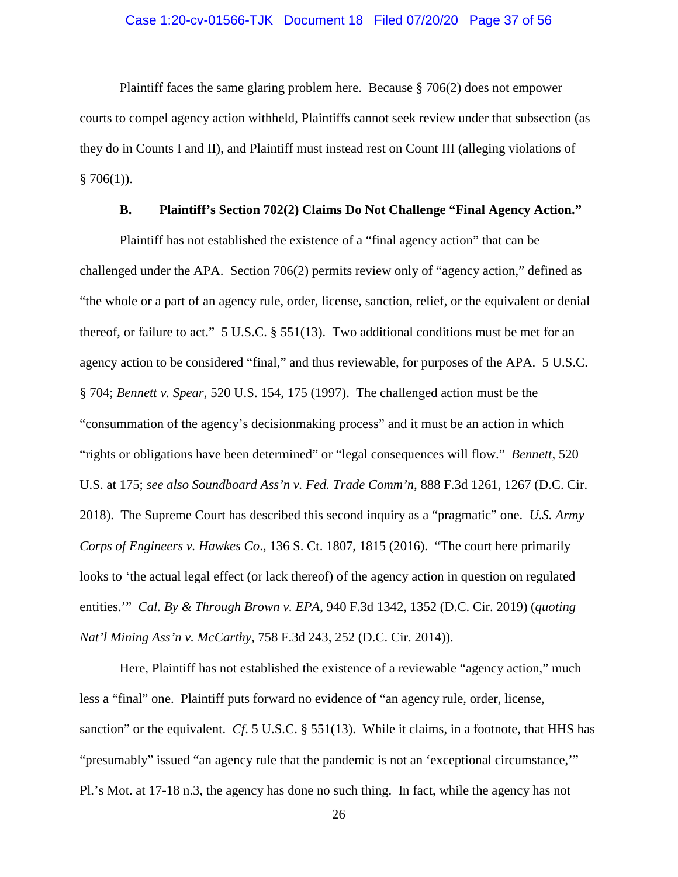#### Case 1:20-cv-01566-TJK Document 18 Filed 07/20/20 Page 37 of 56

Plaintiff faces the same glaring problem here. Because § 706(2) does not empower courts to compel agency action withheld, Plaintiffs cannot seek review under that subsection (as they do in Counts I and II), and Plaintiff must instead rest on Count III (alleging violations of  $§ 706(1)$ .

### **B. Plaintiff's Section 702(2) Claims Do Not Challenge "Final Agency Action."**

Plaintiff has not established the existence of a "final agency action" that can be challenged under the APA. Section 706(2) permits review only of "agency action," defined as "the whole or a part of an agency rule, order, license, sanction, relief, or the equivalent or denial thereof, or failure to act." 5 U.S.C.  $\S$  551(13). Two additional conditions must be met for an agency action to be considered "final," and thus reviewable, for purposes of the APA. 5 U.S.C. § 704; *Bennett v. Spear*, 520 U.S. 154, 175 (1997). The challenged action must be the "consummation of the agency's decisionmaking process" and it must be an action in which "rights or obligations have been determined" or "legal consequences will flow." *Bennett,* 520 U.S. at 175; *see also Soundboard Ass'n v. Fed. Trade Comm'n*, 888 F.3d 1261, 1267 (D.C. Cir. 2018). The Supreme Court has described this second inquiry as a "pragmatic" one. *U.S. Army Corps of Engineers v. Hawkes Co*., 136 S. Ct. 1807, 1815 (2016). "The court here primarily looks to 'the actual legal effect (or lack thereof) of the agency action in question on regulated entities.'" *Cal. By & Through Brown v. EPA*, 940 F.3d 1342, 1352 (D.C. Cir. 2019) (*quoting Nat'l Mining Ass'n v. McCarthy*, 758 F.3d 243, 252 (D.C. Cir. 2014)).

Here, Plaintiff has not established the existence of a reviewable "agency action," much less a "final" one. Plaintiff puts forward no evidence of "an agency rule, order, license, sanction" or the equivalent. *Cf*. 5 U.S.C. § 551(13). While it claims, in a footnote, that HHS has "presumably" issued "an agency rule that the pandemic is not an 'exceptional circumstance,'" Pl.'s Mot. at 17-18 n.3, the agency has done no such thing. In fact, while the agency has not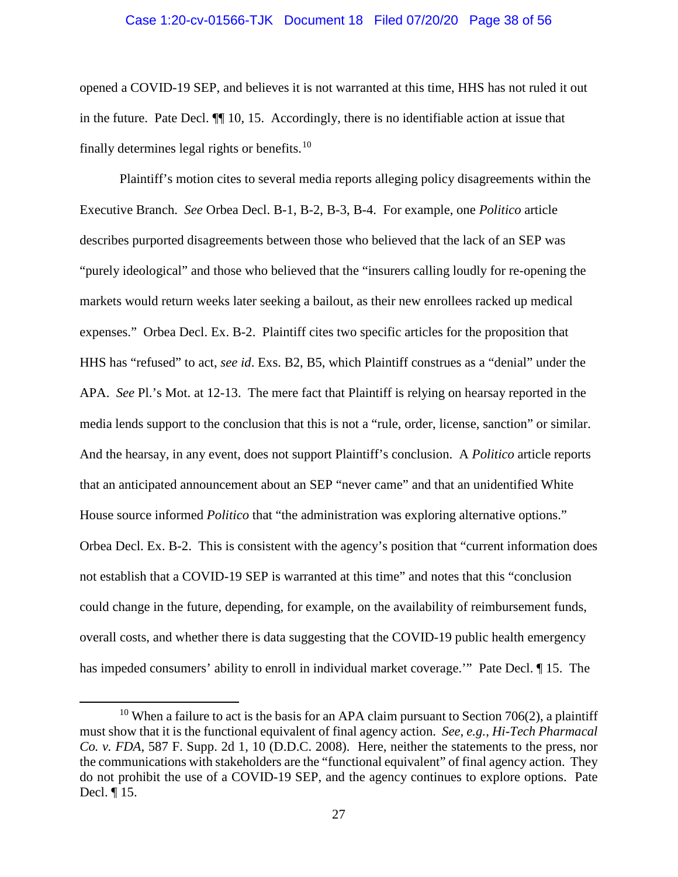#### Case 1:20-cv-01566-TJK Document 18 Filed 07/20/20 Page 38 of 56

opened a COVID-19 SEP, and believes it is not warranted at this time, HHS has not ruled it out in the future. Pate Decl. ¶¶ 10, 15. Accordingly, there is no identifiable action at issue that finally determines legal rights or benefits.<sup>10</sup>

Plaintiff's motion cites to several media reports alleging policy disagreements within the Executive Branch. *See* Orbea Decl. B-1, B-2, B-3, B-4. For example, one *Politico* article describes purported disagreements between those who believed that the lack of an SEP was "purely ideological" and those who believed that the "insurers calling loudly for re-opening the markets would return weeks later seeking a bailout, as their new enrollees racked up medical expenses." Orbea Decl. Ex. B-2. Plaintiff cites two specific articles for the proposition that HHS has "refused" to act, *see id*. Exs. B2, B5, which Plaintiff construes as a "denial" under the APA. *See* Pl.'s Mot. at 12-13. The mere fact that Plaintiff is relying on hearsay reported in the media lends support to the conclusion that this is not a "rule, order, license, sanction" or similar. And the hearsay, in any event, does not support Plaintiff's conclusion. A *Politico* article reports that an anticipated announcement about an SEP "never came" and that an unidentified White House source informed *Politico* that "the administration was exploring alternative options." Orbea Decl. Ex. B-2. This is consistent with the agency's position that "current information does not establish that a COVID-19 SEP is warranted at this time" and notes that this "conclusion could change in the future, depending, for example, on the availability of reimbursement funds, overall costs, and whether there is data suggesting that the COVID-19 public health emergency has impeded consumers' ability to enroll in individual market coverage." Pate Decl. 15. The

<sup>&</sup>lt;sup>10</sup> When a failure to act is the basis for an APA claim pursuant to Section 706(2), a plaintiff must show that it is the functional equivalent of final agency action. *See, e.g.*, *Hi-Tech Pharmacal Co. v. FDA*, 587 F. Supp. 2d 1, 10 (D.D.C. 2008). Here, neither the statements to the press, nor the communications with stakeholders are the "functional equivalent" of final agency action. They do not prohibit the use of a COVID-19 SEP, and the agency continues to explore options. Pate Decl. ¶ 15.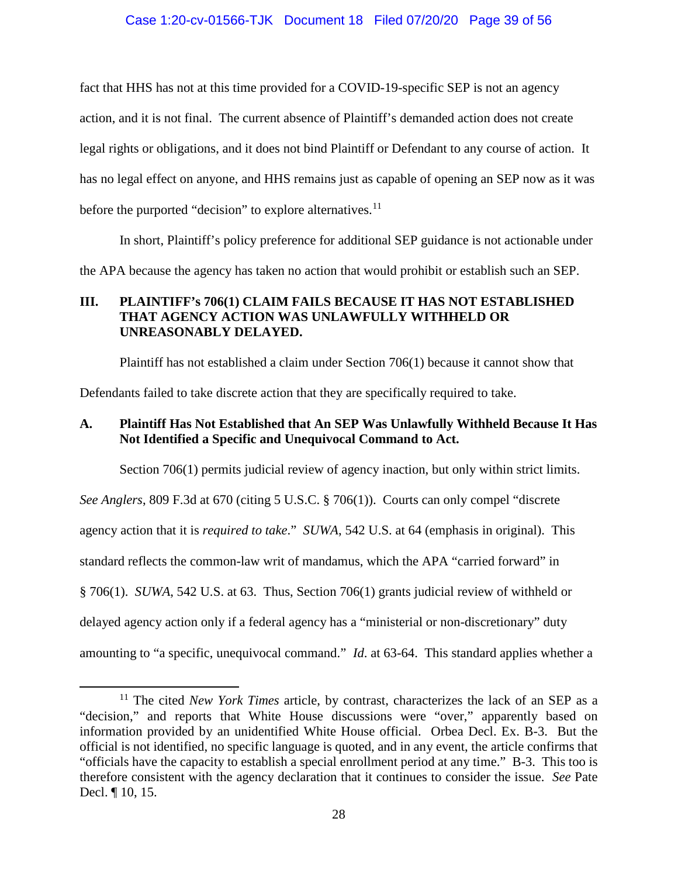## Case 1:20-cv-01566-TJK Document 18 Filed 07/20/20 Page 39 of 56

fact that HHS has not at this time provided for a COVID-19-specific SEP is not an agency action, and it is not final. The current absence of Plaintiff's demanded action does not create legal rights or obligations, and it does not bind Plaintiff or Defendant to any course of action. It has no legal effect on anyone, and HHS remains just as capable of opening an SEP now as it was before the purported "decision" to explore alternatives.<sup>11</sup>

In short, Plaintiff's policy preference for additional SEP guidance is not actionable under the APA because the agency has taken no action that would prohibit or establish such an SEP.

# **III. PLAINTIFF's 706(1) CLAIM FAILS BECAUSE IT HAS NOT ESTABLISHED THAT AGENCY ACTION WAS UNLAWFULLY WITHHELD OR UNREASONABLY DELAYED.**

Plaintiff has not established a claim under Section 706(1) because it cannot show that

Defendants failed to take discrete action that they are specifically required to take.

# **A. Plaintiff Has Not Established that An SEP Was Unlawfully Withheld Because It Has Not Identified a Specific and Unequivocal Command to Act.**

Section 706(1) permits judicial review of agency inaction, but only within strict limits.

*See Anglers*, 809 F.3d at 670 (citing 5 U.S.C. § 706(1)). Courts can only compel "discrete

agency action that it is *required to take*." *SUWA*, 542 U.S. at 64 (emphasis in original). This

standard reflects the common-law writ of mandamus, which the APA "carried forward" in

§ 706(1). *SUWA*, 542 U.S. at 63. Thus, Section 706(1) grants judicial review of withheld or

delayed agency action only if a federal agency has a "ministerial or non-discretionary" duty

 $\overline{\phantom{a}}$ 

amounting to "a specific, unequivocal command." *Id*. at 63-64. This standard applies whether a

<sup>11</sup> The cited *New York Times* article, by contrast, characterizes the lack of an SEP as a "decision," and reports that White House discussions were "over," apparently based on information provided by an unidentified White House official. Orbea Decl. Ex. B-3. But the official is not identified, no specific language is quoted, and in any event, the article confirms that "officials have the capacity to establish a special enrollment period at any time." B-3. This too is therefore consistent with the agency declaration that it continues to consider the issue. *See* Pate Decl. ¶ 10, 15.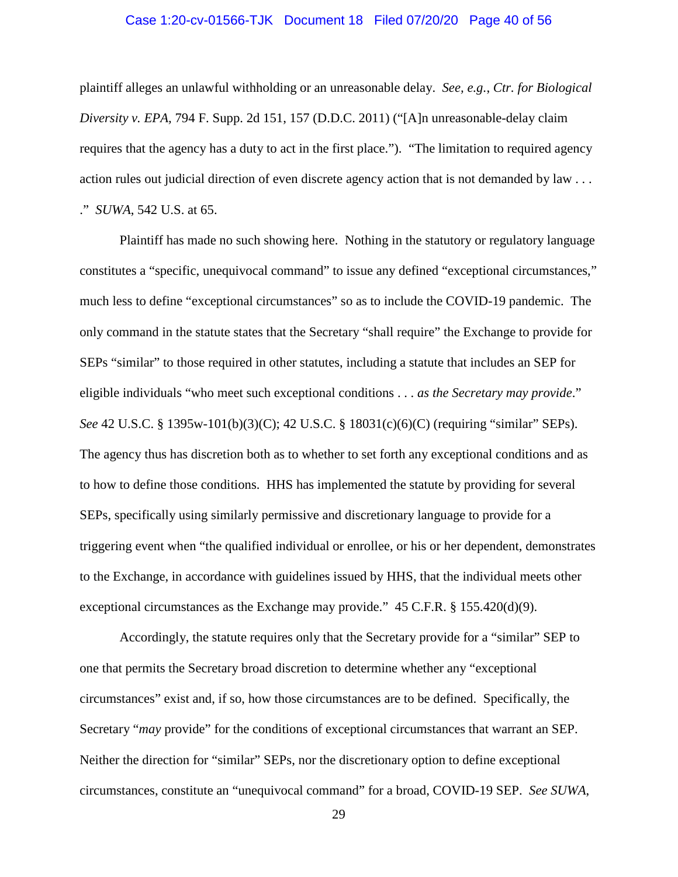#### Case 1:20-cv-01566-TJK Document 18 Filed 07/20/20 Page 40 of 56

plaintiff alleges an unlawful withholding or an unreasonable delay. *See, e.g.*, *Ctr. for Biological Diversity v. EPA,* 794 F. Supp. 2d 151, 157 (D.D.C. 2011) ("[A]n unreasonable-delay claim requires that the agency has a duty to act in the first place."). "The limitation to required agency action rules out judicial direction of even discrete agency action that is not demanded by law . . . ." *SUWA*, 542 U.S. at 65.

Plaintiff has made no such showing here. Nothing in the statutory or regulatory language constitutes a "specific, unequivocal command" to issue any defined "exceptional circumstances," much less to define "exceptional circumstances" so as to include the COVID-19 pandemic. The only command in the statute states that the Secretary "shall require" the Exchange to provide for SEPs "similar" to those required in other statutes, including a statute that includes an SEP for eligible individuals "who meet such exceptional conditions . . . *as the Secretary may provide*." *See* 42 U.S.C. § 1395w-101(b)(3)(C); 42 U.S.C. § 18031(c)(6)(C) (requiring "similar" SEPs). The agency thus has discretion both as to whether to set forth any exceptional conditions and as to how to define those conditions. HHS has implemented the statute by providing for several SEPs, specifically using similarly permissive and discretionary language to provide for a triggering event when "the qualified individual or enrollee, or his or her dependent, demonstrates to the Exchange, in accordance with guidelines issued by HHS, that the individual meets other exceptional circumstances as the Exchange may provide." 45 C.F.R. § 155.420(d)(9).

Accordingly, the statute requires only that the Secretary provide for a "similar" SEP to one that permits the Secretary broad discretion to determine whether any "exceptional circumstances" exist and, if so, how those circumstances are to be defined. Specifically, the Secretary "*may* provide" for the conditions of exceptional circumstances that warrant an SEP. Neither the direction for "similar" SEPs, nor the discretionary option to define exceptional circumstances, constitute an "unequivocal command" for a broad, COVID-19 SEP. *See SUWA*,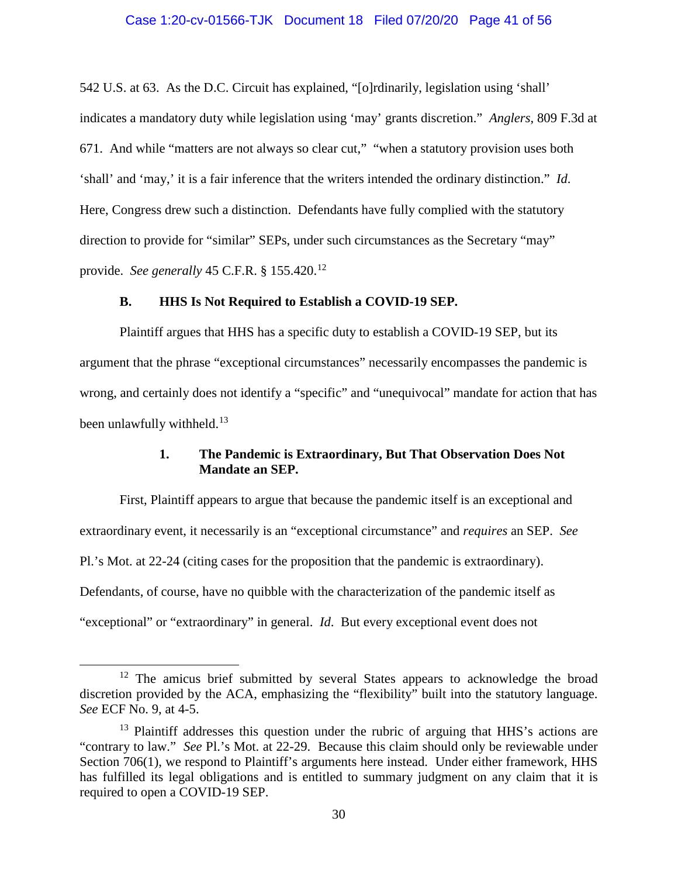#### Case 1:20-cv-01566-TJK Document 18 Filed 07/20/20 Page 41 of 56

542 U.S. at 63. As the D.C. Circuit has explained, "[o]rdinarily, legislation using 'shall' indicates a mandatory duty while legislation using 'may' grants discretion." *Anglers*, 809 F.3d at 671. And while "matters are not always so clear cut," "when a statutory provision uses both 'shall' and 'may,' it is a fair inference that the writers intended the ordinary distinction." *Id*. Here, Congress drew such a distinction. Defendants have fully complied with the statutory direction to provide for "similar" SEPs, under such circumstances as the Secretary "may" provide. *See generally* 45 C.F.R. § 155.420.12

#### **B. HHS Is Not Required to Establish a COVID-19 SEP.**

Plaintiff argues that HHS has a specific duty to establish a COVID-19 SEP, but its argument that the phrase "exceptional circumstances" necessarily encompasses the pandemic is wrong, and certainly does not identify a "specific" and "unequivocal" mandate for action that has been unlawfully withheld.<sup>13</sup>

# **1. The Pandemic is Extraordinary, But That Observation Does Not Mandate an SEP.**

First, Plaintiff appears to argue that because the pandemic itself is an exceptional and extraordinary event, it necessarily is an "exceptional circumstance" and *requires* an SEP. *See*  Pl.'s Mot. at 22-24 (citing cases for the proposition that the pandemic is extraordinary). Defendants, of course, have no quibble with the characterization of the pandemic itself as "exceptional" or "extraordinary" in general. *Id*. But every exceptional event does not

 $\overline{a}$ 

<sup>&</sup>lt;sup>12</sup> The amicus brief submitted by several States appears to acknowledge the broad discretion provided by the ACA, emphasizing the "flexibility" built into the statutory language. *See* ECF No. 9, at 4-5.

<sup>&</sup>lt;sup>13</sup> Plaintiff addresses this question under the rubric of arguing that HHS's actions are "contrary to law." *See* Pl.'s Mot. at 22-29. Because this claim should only be reviewable under Section 706(1), we respond to Plaintiff's arguments here instead. Under either framework, HHS has fulfilled its legal obligations and is entitled to summary judgment on any claim that it is required to open a COVID-19 SEP.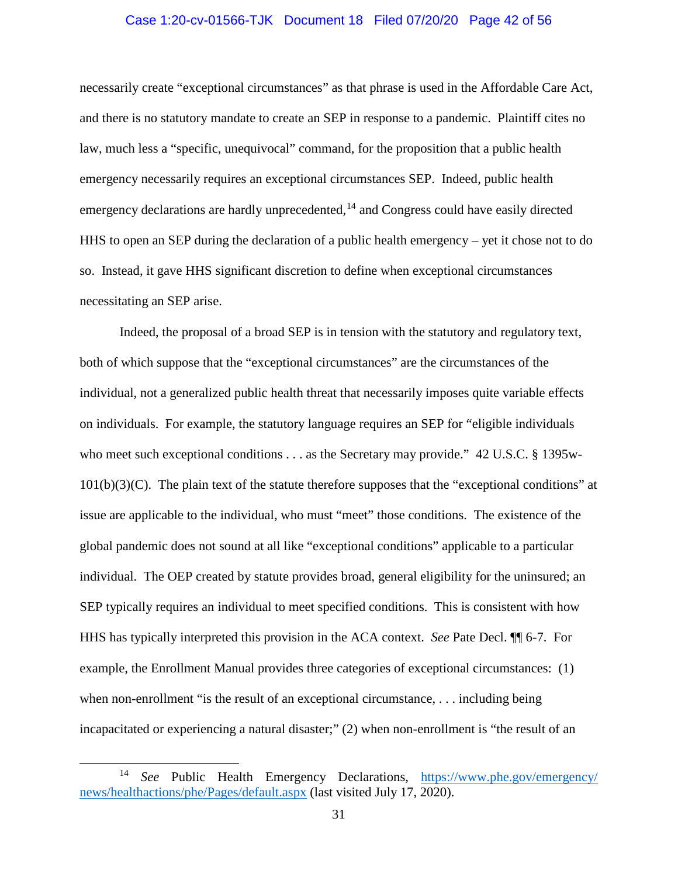#### Case 1:20-cv-01566-TJK Document 18 Filed 07/20/20 Page 42 of 56

necessarily create "exceptional circumstances" as that phrase is used in the Affordable Care Act, and there is no statutory mandate to create an SEP in response to a pandemic. Plaintiff cites no law, much less a "specific, unequivocal" command, for the proposition that a public health emergency necessarily requires an exceptional circumstances SEP. Indeed, public health emergency declarations are hardly unprecedented,  $14$  and Congress could have easily directed HHS to open an SEP during the declaration of a public health emergency – yet it chose not to do so. Instead, it gave HHS significant discretion to define when exceptional circumstances necessitating an SEP arise.

Indeed, the proposal of a broad SEP is in tension with the statutory and regulatory text, both of which suppose that the "exceptional circumstances" are the circumstances of the individual, not a generalized public health threat that necessarily imposes quite variable effects on individuals. For example, the statutory language requires an SEP for "eligible individuals who meet such exceptional conditions . . . as the Secretary may provide." 42 U.S.C. § 1395w- $101(b)(3)(C)$ . The plain text of the statute therefore supposes that the "exceptional conditions" at issue are applicable to the individual, who must "meet" those conditions. The existence of the global pandemic does not sound at all like "exceptional conditions" applicable to a particular individual. The OEP created by statute provides broad, general eligibility for the uninsured; an SEP typically requires an individual to meet specified conditions. This is consistent with how HHS has typically interpreted this provision in the ACA context. *See* Pate Decl. ¶¶ 6-7. For example, the Enrollment Manual provides three categories of exceptional circumstances: (1) when non-enrollment "is the result of an exceptional circumstance, . . . including being incapacitated or experiencing a natural disaster;" (2) when non-enrollment is "the result of an

<sup>14</sup> *See* Public Health Emergency Declarations, https://www.phe.gov/emergency/ news/healthactions/phe/Pages/default.aspx (last visited July 17, 2020).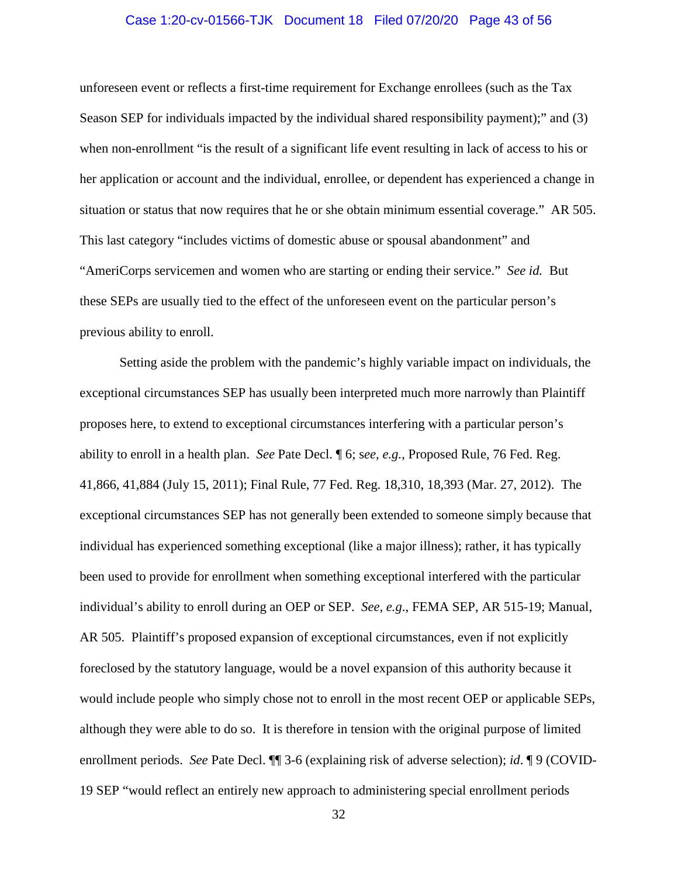#### Case 1:20-cv-01566-TJK Document 18 Filed 07/20/20 Page 43 of 56

unforeseen event or reflects a first-time requirement for Exchange enrollees (such as the Tax Season SEP for individuals impacted by the individual shared responsibility payment);" and (3) when non-enrollment "is the result of a significant life event resulting in lack of access to his or her application or account and the individual, enrollee, or dependent has experienced a change in situation or status that now requires that he or she obtain minimum essential coverage." AR 505. This last category "includes victims of domestic abuse or spousal abandonment" and "AmeriCorps servicemen and women who are starting or ending their service." *See id.* But these SEPs are usually tied to the effect of the unforeseen event on the particular person's previous ability to enroll.

Setting aside the problem with the pandemic's highly variable impact on individuals, the exceptional circumstances SEP has usually been interpreted much more narrowly than Plaintiff proposes here, to extend to exceptional circumstances interfering with a particular person's ability to enroll in a health plan. *See* Pate Decl. ¶ 6; s*ee, e.g.*, Proposed Rule, 76 Fed. Reg. 41,866, 41,884 (July 15, 2011); Final Rule, 77 Fed. Reg. 18,310, 18,393 (Mar. 27, 2012). The exceptional circumstances SEP has not generally been extended to someone simply because that individual has experienced something exceptional (like a major illness); rather, it has typically been used to provide for enrollment when something exceptional interfered with the particular individual's ability to enroll during an OEP or SEP. *See, e.g*., FEMA SEP, AR 515-19; Manual, AR 505. Plaintiff's proposed expansion of exceptional circumstances, even if not explicitly foreclosed by the statutory language, would be a novel expansion of this authority because it would include people who simply chose not to enroll in the most recent OEP or applicable SEPs, although they were able to do so. It is therefore in tension with the original purpose of limited enrollment periods. *See* Pate Decl. ¶¶ 3-6 (explaining risk of adverse selection); *id*. ¶ 9 (COVID-19 SEP "would reflect an entirely new approach to administering special enrollment periods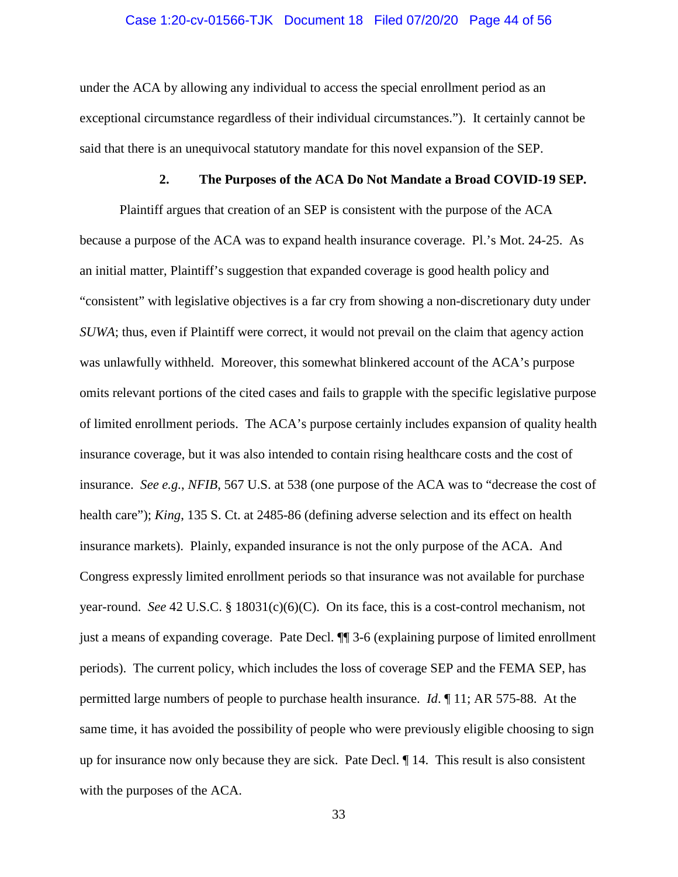#### Case 1:20-cv-01566-TJK Document 18 Filed 07/20/20 Page 44 of 56

under the ACA by allowing any individual to access the special enrollment period as an exceptional circumstance regardless of their individual circumstances."). It certainly cannot be said that there is an unequivocal statutory mandate for this novel expansion of the SEP.

#### **2. The Purposes of the ACA Do Not Mandate a Broad COVID-19 SEP.**

Plaintiff argues that creation of an SEP is consistent with the purpose of the ACA because a purpose of the ACA was to expand health insurance coverage. Pl.'s Mot. 24-25. As an initial matter, Plaintiff's suggestion that expanded coverage is good health policy and "consistent" with legislative objectives is a far cry from showing a non-discretionary duty under *SUWA*; thus, even if Plaintiff were correct, it would not prevail on the claim that agency action was unlawfully withheld. Moreover, this somewhat blinkered account of the ACA's purpose omits relevant portions of the cited cases and fails to grapple with the specific legislative purpose of limited enrollment periods. The ACA's purpose certainly includes expansion of quality health insurance coverage, but it was also intended to contain rising healthcare costs and the cost of insurance. *See e.g.*, *NFIB*, 567 U.S. at 538 (one purpose of the ACA was to "decrease the cost of health care"); *King*, 135 S. Ct. at 2485-86 (defining adverse selection and its effect on health insurance markets). Plainly, expanded insurance is not the only purpose of the ACA. And Congress expressly limited enrollment periods so that insurance was not available for purchase year-round. *See* 42 U.S.C. § 18031(c)(6)(C). On its face, this is a cost-control mechanism, not just a means of expanding coverage. Pate Decl. ¶¶ 3-6 (explaining purpose of limited enrollment periods). The current policy, which includes the loss of coverage SEP and the FEMA SEP, has permitted large numbers of people to purchase health insurance. *Id*. ¶ 11; AR 575-88. At the same time, it has avoided the possibility of people who were previously eligible choosing to sign up for insurance now only because they are sick. Pate Decl. ¶ 14. This result is also consistent with the purposes of the ACA.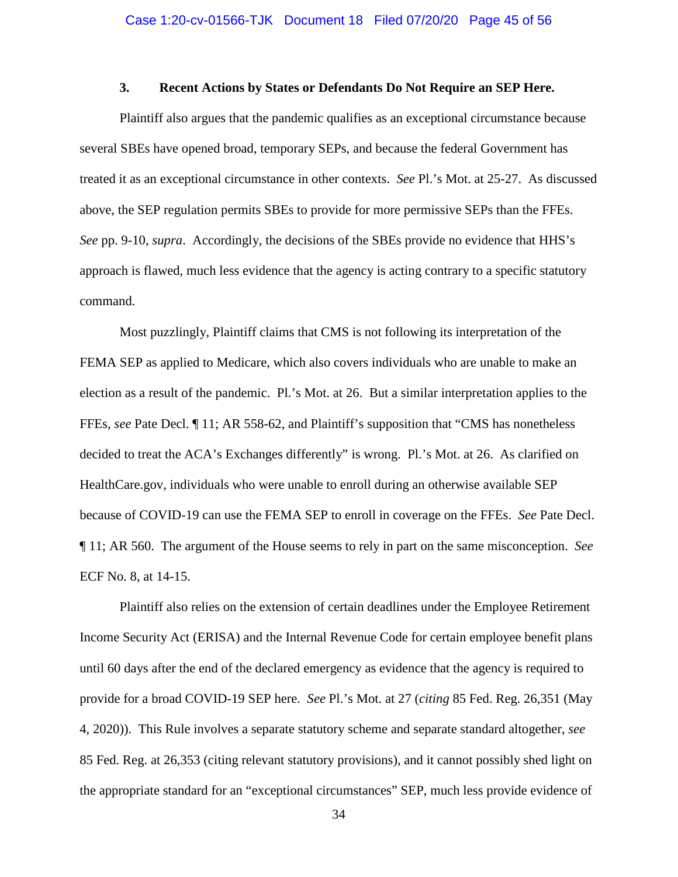### **3. Recent Actions by States or Defendants Do Not Require an SEP Here.**

Plaintiff also argues that the pandemic qualifies as an exceptional circumstance because several SBEs have opened broad, temporary SEPs, and because the federal Government has treated it as an exceptional circumstance in other contexts. *See* Pl.'s Mot. at 25-27. As discussed above, the SEP regulation permits SBEs to provide for more permissive SEPs than the FFEs. *See* pp. 9-10, *supra*. Accordingly, the decisions of the SBEs provide no evidence that HHS's approach is flawed, much less evidence that the agency is acting contrary to a specific statutory command.

Most puzzlingly, Plaintiff claims that CMS is not following its interpretation of the FEMA SEP as applied to Medicare, which also covers individuals who are unable to make an election as a result of the pandemic. Pl.'s Mot. at 26. But a similar interpretation applies to the FFEs, *see* Pate Decl. ¶ 11; AR 558-62, and Plaintiff's supposition that "CMS has nonetheless decided to treat the ACA's Exchanges differently" is wrong. Pl.'s Mot. at 26. As clarified on HealthCare.gov, individuals who were unable to enroll during an otherwise available SEP because of COVID-19 can use the FEMA SEP to enroll in coverage on the FFEs. *See* Pate Decl. ¶ 11; AR 560. The argument of the House seems to rely in part on the same misconception. *See*  ECF No. 8, at 14-15.

Plaintiff also relies on the extension of certain deadlines under the Employee Retirement Income Security Act (ERISA) and the Internal Revenue Code for certain employee benefit plans until 60 days after the end of the declared emergency as evidence that the agency is required to provide for a broad COVID-19 SEP here. *See* Pl.'s Mot. at 27 (*citing* 85 Fed. Reg. 26,351 (May 4, 2020)). This Rule involves a separate statutory scheme and separate standard altogether, *see* 85 Fed. Reg. at 26,353 (citing relevant statutory provisions), and it cannot possibly shed light on the appropriate standard for an "exceptional circumstances" SEP, much less provide evidence of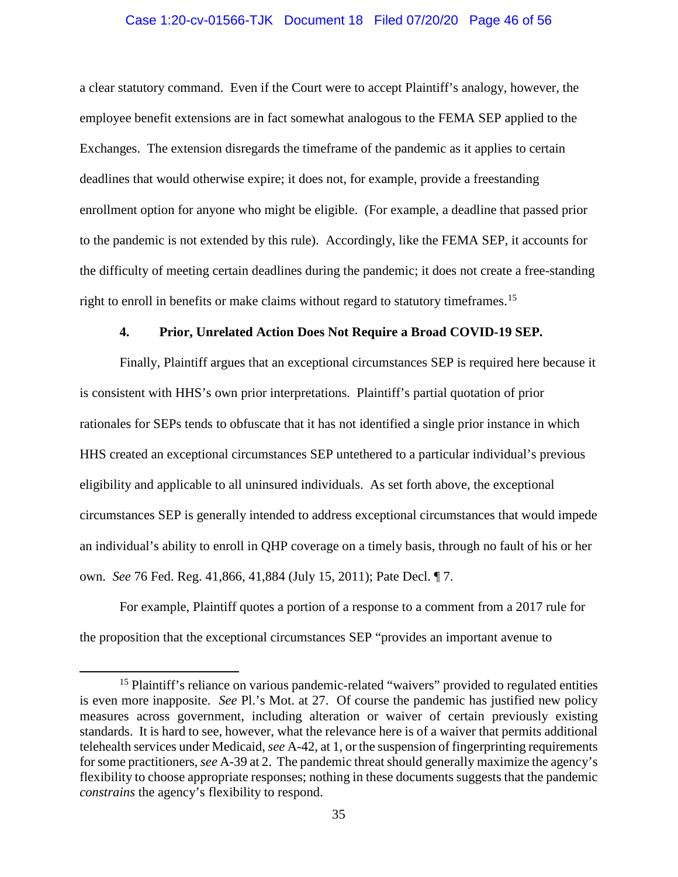#### Case 1:20-cv-01566-TJK Document 18 Filed 07/20/20 Page 46 of 56

a clear statutory command. Even if the Court were to accept Plaintiff's analogy, however, the employee benefit extensions are in fact somewhat analogous to the FEMA SEP applied to the Exchanges. The extension disregards the timeframe of the pandemic as it applies to certain deadlines that would otherwise expire; it does not, for example, provide a freestanding enrollment option for anyone who might be eligible. (For example, a deadline that passed prior to the pandemic is not extended by this rule). Accordingly, like the FEMA SEP, it accounts for the difficulty of meeting certain deadlines during the pandemic; it does not create a free-standing right to enroll in benefits or make claims without regard to statutory timeframes.<sup>15</sup>

## **4. Prior, Unrelated Action Does Not Require a Broad COVID-19 SEP.**

Finally, Plaintiff argues that an exceptional circumstances SEP is required here because it is consistent with HHS's own prior interpretations. Plaintiff's partial quotation of prior rationales for SEPs tends to obfuscate that it has not identified a single prior instance in which HHS created an exceptional circumstances SEP untethered to a particular individual's previous eligibility and applicable to all uninsured individuals. As set forth above, the exceptional circumstances SEP is generally intended to address exceptional circumstances that would impede an individual's ability to enroll in QHP coverage on a timely basis, through no fault of his or her own. *See* 76 Fed. Reg. 41,866, 41,884 (July 15, 2011); Pate Decl. ¶ 7.

For example, Plaintiff quotes a portion of a response to a comment from a 2017 rule for the proposition that the exceptional circumstances SEP "provides an important avenue to

 $\overline{a}$ 

<sup>&</sup>lt;sup>15</sup> Plaintiff's reliance on various pandemic-related "waivers" provided to regulated entities is even more inapposite. *See* Pl.'s Mot. at 27. Of course the pandemic has justified new policy measures across government, including alteration or waiver of certain previously existing standards. It is hard to see, however, what the relevance here is of a waiver that permits additional telehealth services under Medicaid, *see* A-42, at 1, or the suspension of fingerprinting requirements for some practitioners, *see* A-39 at 2. The pandemic threat should generally maximize the agency's flexibility to choose appropriate responses; nothing in these documents suggests that the pandemic *constrains* the agency's flexibility to respond.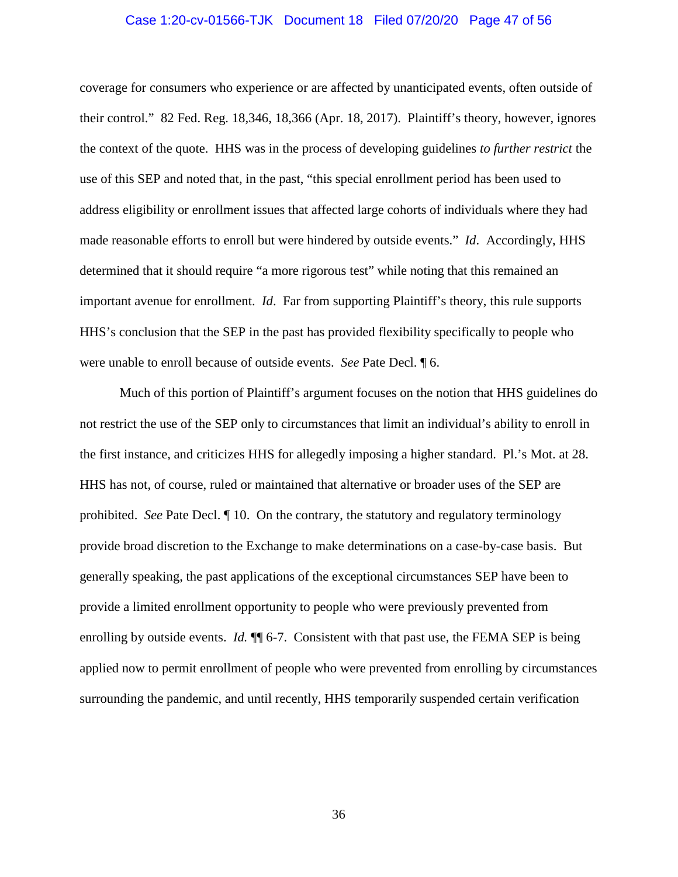#### Case 1:20-cv-01566-TJK Document 18 Filed 07/20/20 Page 47 of 56

coverage for consumers who experience or are affected by unanticipated events, often outside of their control." 82 Fed. Reg. 18,346, 18,366 (Apr. 18, 2017). Plaintiff's theory, however, ignores the context of the quote. HHS was in the process of developing guidelines *to further restrict* the use of this SEP and noted that, in the past, "this special enrollment period has been used to address eligibility or enrollment issues that affected large cohorts of individuals where they had made reasonable efforts to enroll but were hindered by outside events." *Id*. Accordingly, HHS determined that it should require "a more rigorous test" while noting that this remained an important avenue for enrollment. *Id*. Far from supporting Plaintiff's theory, this rule supports HHS's conclusion that the SEP in the past has provided flexibility specifically to people who were unable to enroll because of outside events. *See* Pate Decl. ¶ 6.

Much of this portion of Plaintiff's argument focuses on the notion that HHS guidelines do not restrict the use of the SEP only to circumstances that limit an individual's ability to enroll in the first instance, and criticizes HHS for allegedly imposing a higher standard. Pl.'s Mot. at 28. HHS has not, of course, ruled or maintained that alternative or broader uses of the SEP are prohibited. *See* Pate Decl. ¶ 10. On the contrary, the statutory and regulatory terminology provide broad discretion to the Exchange to make determinations on a case-by-case basis. But generally speaking, the past applications of the exceptional circumstances SEP have been to provide a limited enrollment opportunity to people who were previously prevented from enrolling by outside events. *Id.*  $\P$  6-7. Consistent with that past use, the FEMA SEP is being applied now to permit enrollment of people who were prevented from enrolling by circumstances surrounding the pandemic, and until recently, HHS temporarily suspended certain verification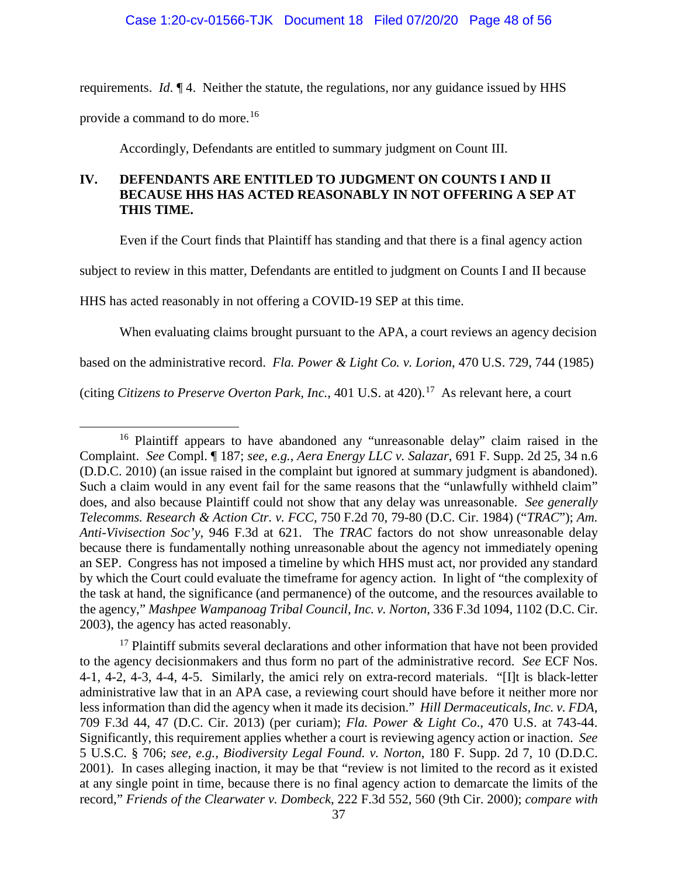requirements. *Id*. ¶ 4. Neither the statute, the regulations, nor any guidance issued by HHS provide a command to do more.<sup>16</sup>

Accordingly, Defendants are entitled to summary judgment on Count III.

# **IV. DEFENDANTS ARE ENTITLED TO JUDGMENT ON COUNTS I AND II BECAUSE HHS HAS ACTED REASONABLY IN NOT OFFERING A SEP AT THIS TIME.**

Even if the Court finds that Plaintiff has standing and that there is a final agency action

subject to review in this matter, Defendants are entitled to judgment on Counts I and II because

HHS has acted reasonably in not offering a COVID-19 SEP at this time.

l

When evaluating claims brought pursuant to the APA, a court reviews an agency decision

based on the administrative record. *Fla. Power & Light Co. v. Lorion*, 470 U.S. 729, 744 (1985)

(citing *Citizens to Preserve Overton Park, Inc.*, 401 U.S. at 420).<sup>17</sup> As relevant here, a court

<sup>17</sup> Plaintiff submits several declarations and other information that have not been provided to the agency decisionmakers and thus form no part of the administrative record. *See* ECF Nos. 4-1, 4-2, 4-3, 4-4, 4-5. Similarly, the amici rely on extra-record materials. "[I]t is black-letter administrative law that in an APA case, a reviewing court should have before it neither more nor less information than did the agency when it made its decision." *Hill Dermaceuticals, Inc. v. FDA*, 709 F.3d 44, 47 (D.C. Cir. 2013) (per curiam); *Fla. Power & Light Co*., 470 U.S. at 743-44. Significantly, this requirement applies whether a court is reviewing agency action or inaction. *See*  5 U.S.C. § 706; *see, e.g., Biodiversity Legal Found. v. Norton*, 180 F. Supp. 2d 7, 10 (D.D.C. 2001). In cases alleging inaction, it may be that "review is not limited to the record as it existed at any single point in time, because there is no final agency action to demarcate the limits of the record," *Friends of the Clearwater v. Dombeck*, 222 F.3d 552, 560 (9th Cir. 2000); *compare with* 

<sup>16</sup> Plaintiff appears to have abandoned any "unreasonable delay" claim raised in the Complaint. *See* Compl. ¶ 187; *see, e.g.*, *Aera Energy LLC v. Salazar*, 691 F. Supp. 2d 25, 34 n.6 (D.D.C. 2010) (an issue raised in the complaint but ignored at summary judgment is abandoned). Such a claim would in any event fail for the same reasons that the "unlawfully withheld claim" does, and also because Plaintiff could not show that any delay was unreasonable. *See generally Telecomms. Research & Action Ctr. v. FCC*, 750 F.2d 70, 79-80 (D.C. Cir. 1984) ("*TRAC*"); *Am. Anti-Vivisection Soc'y*, 946 F.3d at 621. The *TRAC* factors do not show unreasonable delay because there is fundamentally nothing unreasonable about the agency not immediately opening an SEP. Congress has not imposed a timeline by which HHS must act, nor provided any standard by which the Court could evaluate the timeframe for agency action. In light of "the complexity of the task at hand, the significance (and permanence) of the outcome, and the resources available to the agency," *Mashpee Wampanoag Tribal Council, Inc. v. Norton*, 336 F.3d 1094, 1102 (D.C. Cir. 2003), the agency has acted reasonably.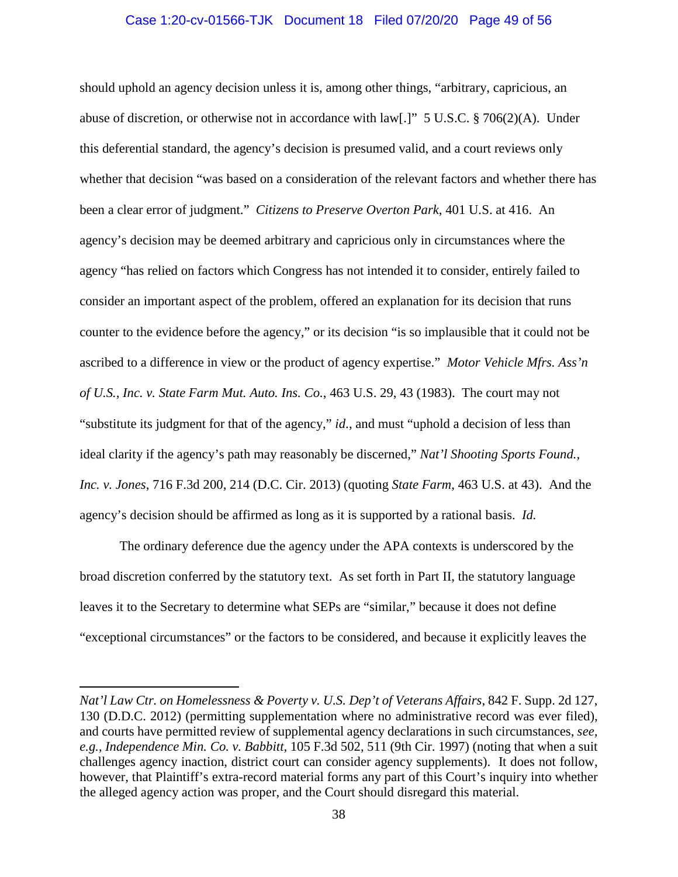#### Case 1:20-cv-01566-TJK Document 18 Filed 07/20/20 Page 49 of 56

should uphold an agency decision unless it is, among other things, "arbitrary, capricious, an abuse of discretion, or otherwise not in accordance with law[.]" 5 U.S.C. § 706(2)(A). Under this deferential standard, the agency's decision is presumed valid, and a court reviews only whether that decision "was based on a consideration of the relevant factors and whether there has been a clear error of judgment." *Citizens to Preserve Overton Park*, 401 U.S. at 416. An agency's decision may be deemed arbitrary and capricious only in circumstances where the agency "has relied on factors which Congress has not intended it to consider, entirely failed to consider an important aspect of the problem, offered an explanation for its decision that runs counter to the evidence before the agency," or its decision "is so implausible that it could not be ascribed to a difference in view or the product of agency expertise." *Motor Vehicle Mfrs. Ass'n of U.S., Inc. v. State Farm Mut. Auto. Ins. Co.*, 463 U.S. 29, 43 (1983). The court may not "substitute its judgment for that of the agency," *id*., and must "uphold a decision of less than ideal clarity if the agency's path may reasonably be discerned," *Nat'l Shooting Sports Found., Inc. v. Jones*, 716 F.3d 200, 214 (D.C. Cir. 2013) (quoting *State Farm*, 463 U.S. at 43). And the agency's decision should be affirmed as long as it is supported by a rational basis. *Id.*

The ordinary deference due the agency under the APA contexts is underscored by the broad discretion conferred by the statutory text. As set forth in Part II, the statutory language leaves it to the Secretary to determine what SEPs are "similar," because it does not define "exceptional circumstances" or the factors to be considered, and because it explicitly leaves the

*Nat'l Law Ctr. on Homelessness & Poverty v. U.S. Dep't of Veterans Affairs*, 842 F. Supp. 2d 127, 130 (D.D.C. 2012) (permitting supplementation where no administrative record was ever filed), and courts have permitted review of supplemental agency declarations in such circumstances, *see, e.g.*, *Independence Min. Co. v. Babbitt*, 105 F.3d 502, 511 (9th Cir. 1997) (noting that when a suit challenges agency inaction, district court can consider agency supplements). It does not follow, however, that Plaintiff's extra-record material forms any part of this Court's inquiry into whether the alleged agency action was proper, and the Court should disregard this material.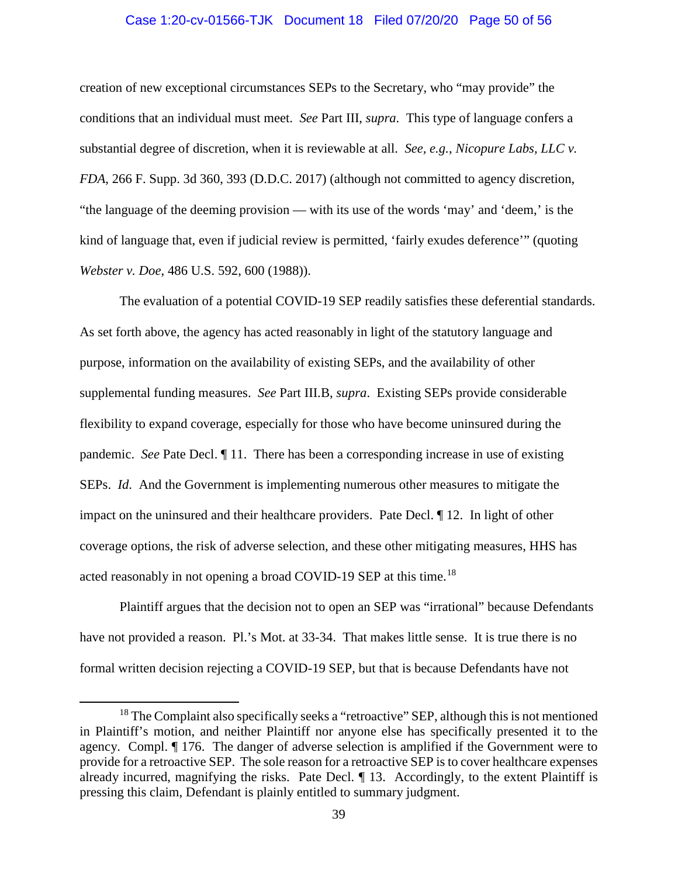#### Case 1:20-cv-01566-TJK Document 18 Filed 07/20/20 Page 50 of 56

creation of new exceptional circumstances SEPs to the Secretary, who "may provide" the conditions that an individual must meet. *See* Part III, *supra*. This type of language confers a substantial degree of discretion, when it is reviewable at all. *See, e.g.*, *Nicopure Labs, LLC v. FDA*, 266 F. Supp. 3d 360, 393 (D.D.C. 2017) (although not committed to agency discretion, "the language of the deeming provision — with its use of the words 'may' and 'deem,' is the kind of language that, even if judicial review is permitted, 'fairly exudes deference'" (quoting *Webster v. Doe*, 486 U.S. 592, 600 (1988)).

The evaluation of a potential COVID-19 SEP readily satisfies these deferential standards. As set forth above, the agency has acted reasonably in light of the statutory language and purpose, information on the availability of existing SEPs, and the availability of other supplemental funding measures. *See* Part III.B, *supra*. Existing SEPs provide considerable flexibility to expand coverage, especially for those who have become uninsured during the pandemic. *See* Pate Decl. ¶ 11. There has been a corresponding increase in use of existing SEPs. *Id*. And the Government is implementing numerous other measures to mitigate the impact on the uninsured and their healthcare providers. Pate Decl. ¶ 12. In light of other coverage options, the risk of adverse selection, and these other mitigating measures, HHS has acted reasonably in not opening a broad COVID-19 SEP at this time.<sup>18</sup>

Plaintiff argues that the decision not to open an SEP was "irrational" because Defendants have not provided a reason. Pl.'s Mot. at 33-34. That makes little sense. It is true there is no formal written decision rejecting a COVID-19 SEP, but that is because Defendants have not

 $18$  The Complaint also specifically seeks a "retroactive" SEP, although this is not mentioned in Plaintiff's motion, and neither Plaintiff nor anyone else has specifically presented it to the agency. Compl. ¶ 176. The danger of adverse selection is amplified if the Government were to provide for a retroactive SEP. The sole reason for a retroactive SEP is to cover healthcare expenses already incurred, magnifying the risks. Pate Decl. ¶ 13. Accordingly, to the extent Plaintiff is pressing this claim, Defendant is plainly entitled to summary judgment.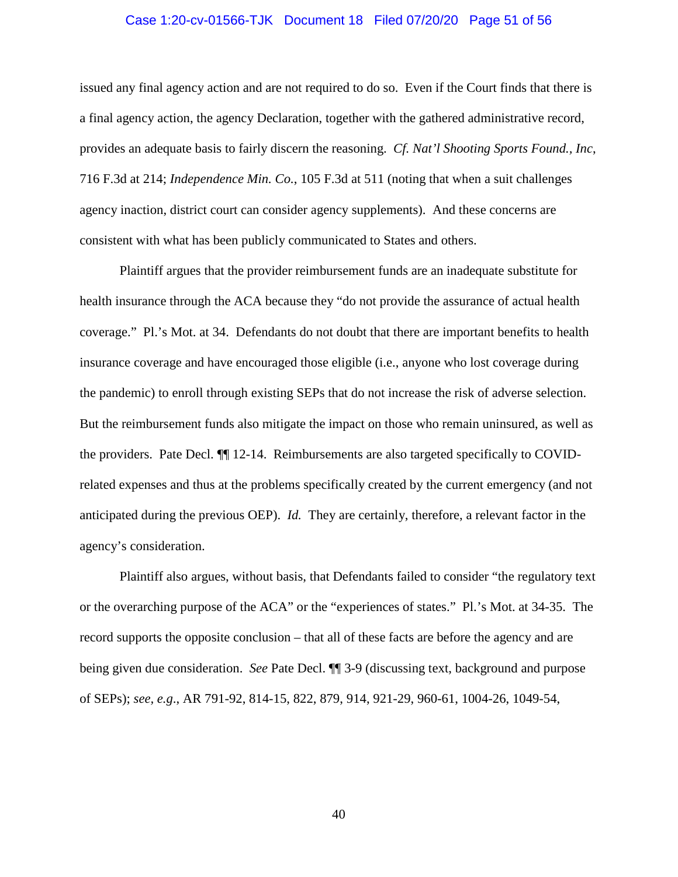#### Case 1:20-cv-01566-TJK Document 18 Filed 07/20/20 Page 51 of 56

issued any final agency action and are not required to do so. Even if the Court finds that there is a final agency action, the agency Declaration, together with the gathered administrative record, provides an adequate basis to fairly discern the reasoning. *Cf. Nat'l Shooting Sports Found., Inc*, 716 F.3d at 214; *Independence Min. Co.*, 105 F.3d at 511 (noting that when a suit challenges agency inaction, district court can consider agency supplements). And these concerns are consistent with what has been publicly communicated to States and others.

Plaintiff argues that the provider reimbursement funds are an inadequate substitute for health insurance through the ACA because they "do not provide the assurance of actual health coverage." Pl.'s Mot. at 34. Defendants do not doubt that there are important benefits to health insurance coverage and have encouraged those eligible (i.e., anyone who lost coverage during the pandemic) to enroll through existing SEPs that do not increase the risk of adverse selection. But the reimbursement funds also mitigate the impact on those who remain uninsured, as well as the providers. Pate Decl. ¶¶ 12-14. Reimbursements are also targeted specifically to COVIDrelated expenses and thus at the problems specifically created by the current emergency (and not anticipated during the previous OEP). *Id.* They are certainly, therefore, a relevant factor in the agency's consideration.

Plaintiff also argues, without basis, that Defendants failed to consider "the regulatory text or the overarching purpose of the ACA" or the "experiences of states." Pl.'s Mot. at 34-35. The record supports the opposite conclusion – that all of these facts are before the agency and are being given due consideration. *See* Pate Decl. ¶¶ 3-9 (discussing text, background and purpose of SEPs); *see, e.g*., AR 791-92, 814-15, 822, 879, 914, 921-29, 960-61, 1004-26, 1049-54,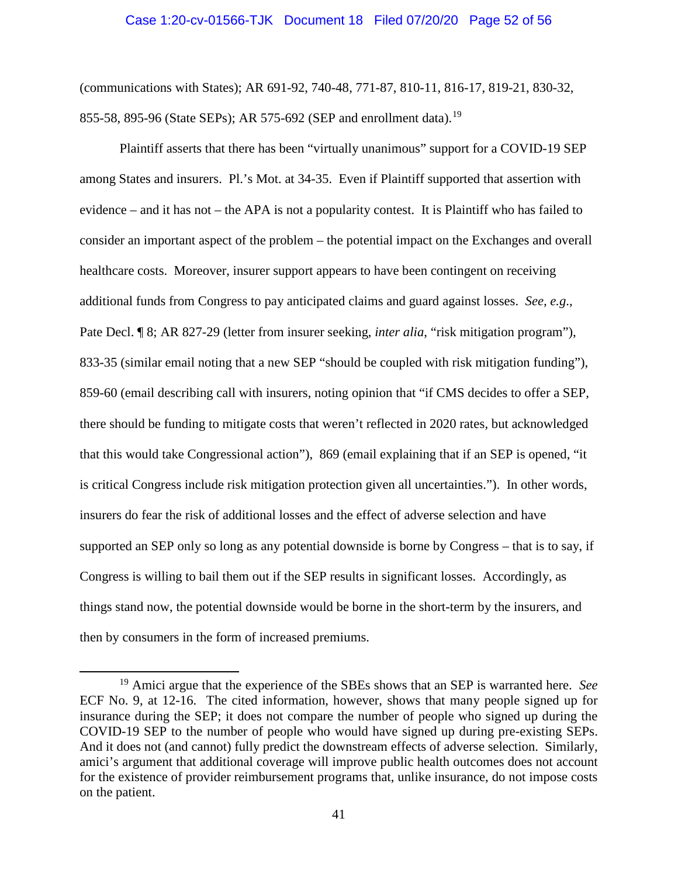#### Case 1:20-cv-01566-TJK Document 18 Filed 07/20/20 Page 52 of 56

(communications with States); AR 691-92, 740-48, 771-87, 810-11, 816-17, 819-21, 830-32, 855-58, 895-96 (State SEPs); AR 575-692 (SEP and enrollment data).<sup>19</sup>

Plaintiff asserts that there has been "virtually unanimous" support for a COVID-19 SEP among States and insurers. Pl.'s Mot. at 34-35. Even if Plaintiff supported that assertion with evidence – and it has not – the APA is not a popularity contest. It is Plaintiff who has failed to consider an important aspect of the problem – the potential impact on the Exchanges and overall healthcare costs. Moreover, insurer support appears to have been contingent on receiving additional funds from Congress to pay anticipated claims and guard against losses. *See, e.g*., Pate Decl. ¶ 8; AR 827-29 (letter from insurer seeking, *inter alia*, "risk mitigation program"), 833-35 (similar email noting that a new SEP "should be coupled with risk mitigation funding"), 859-60 (email describing call with insurers, noting opinion that "if CMS decides to offer a SEP, there should be funding to mitigate costs that weren't reflected in 2020 rates, but acknowledged that this would take Congressional action"), 869 (email explaining that if an SEP is opened, "it is critical Congress include risk mitigation protection given all uncertainties."). In other words, insurers do fear the risk of additional losses and the effect of adverse selection and have supported an SEP only so long as any potential downside is borne by Congress – that is to say, if Congress is willing to bail them out if the SEP results in significant losses. Accordingly, as things stand now, the potential downside would be borne in the short-term by the insurers, and then by consumers in the form of increased premiums.

 $\overline{a}$ 

<sup>19</sup> Amici argue that the experience of the SBEs shows that an SEP is warranted here. *See*  ECF No. 9, at 12-16. The cited information, however, shows that many people signed up for insurance during the SEP; it does not compare the number of people who signed up during the COVID-19 SEP to the number of people who would have signed up during pre-existing SEPs. And it does not (and cannot) fully predict the downstream effects of adverse selection. Similarly, amici's argument that additional coverage will improve public health outcomes does not account for the existence of provider reimbursement programs that, unlike insurance, do not impose costs on the patient.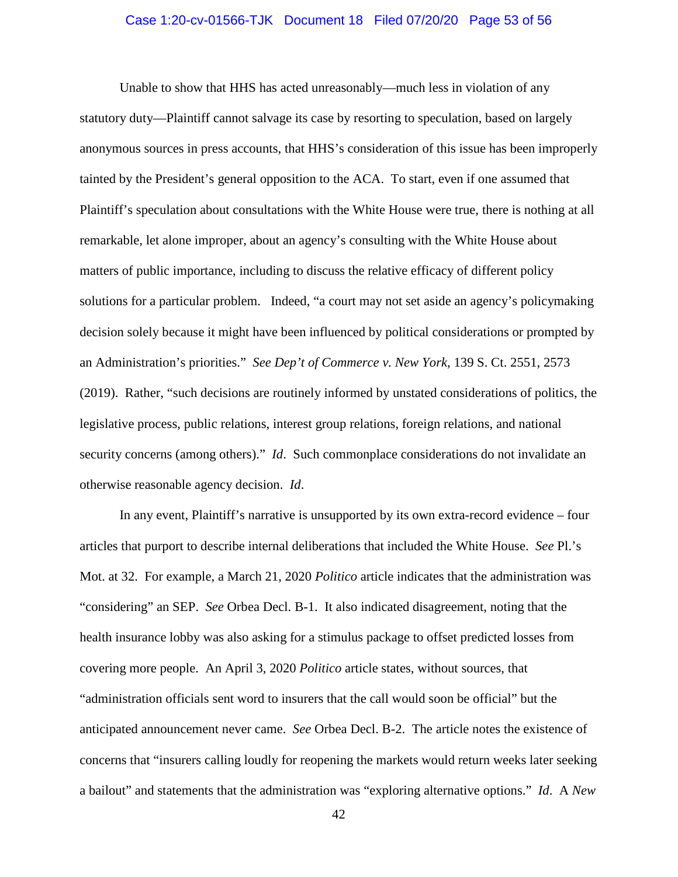#### Case 1:20-cv-01566-TJK Document 18 Filed 07/20/20 Page 53 of 56

Unable to show that HHS has acted unreasonably—much less in violation of any statutory duty—Plaintiff cannot salvage its case by resorting to speculation, based on largely anonymous sources in press accounts, that HHS's consideration of this issue has been improperly tainted by the President's general opposition to the ACA. To start, even if one assumed that Plaintiff's speculation about consultations with the White House were true, there is nothing at all remarkable, let alone improper, about an agency's consulting with the White House about matters of public importance, including to discuss the relative efficacy of different policy solutions for a particular problem. Indeed, "a court may not set aside an agency's policymaking decision solely because it might have been influenced by political considerations or prompted by an Administration's priorities." *See Dep't of Commerce v. New York*, 139 S. Ct. 2551, 2573 (2019). Rather, "such decisions are routinely informed by unstated considerations of politics, the legislative process, public relations, interest group relations, foreign relations, and national security concerns (among others)." *Id*. Such commonplace considerations do not invalidate an otherwise reasonable agency decision. *Id*.

In any event, Plaintiff's narrative is unsupported by its own extra-record evidence – four articles that purport to describe internal deliberations that included the White House. *See* Pl.'s Mot. at 32. For example, a March 21, 2020 *Politico* article indicates that the administration was "considering" an SEP. *See* Orbea Decl. B-1. It also indicated disagreement, noting that the health insurance lobby was also asking for a stimulus package to offset predicted losses from covering more people. An April 3, 2020 *Politico* article states, without sources, that "administration officials sent word to insurers that the call would soon be official" but the anticipated announcement never came. *See* Orbea Decl. B-2. The article notes the existence of concerns that "insurers calling loudly for reopening the markets would return weeks later seeking a bailout" and statements that the administration was "exploring alternative options." *Id*. A *New*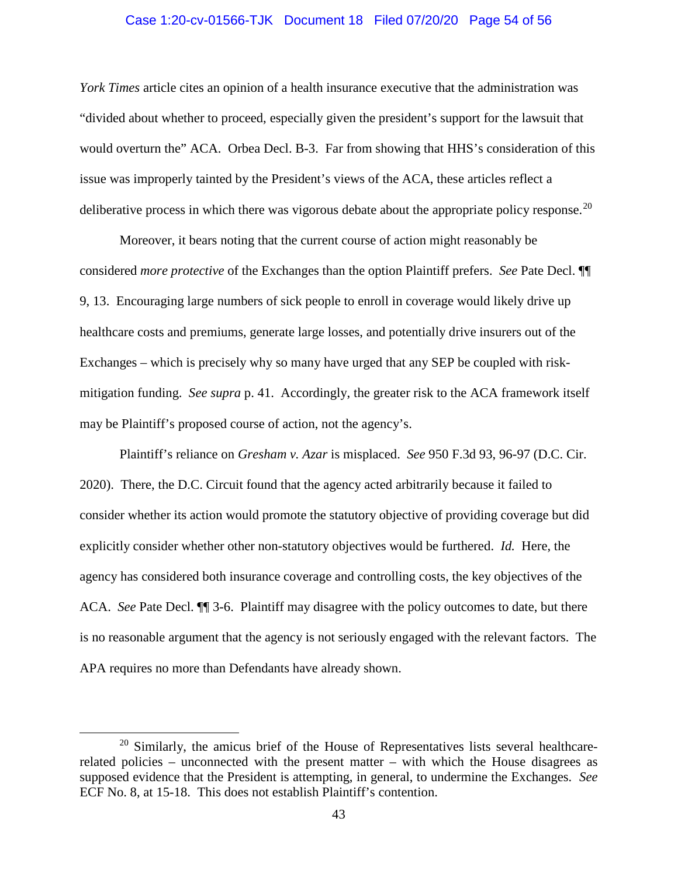#### Case 1:20-cv-01566-TJK Document 18 Filed 07/20/20 Page 54 of 56

*York Times* article cites an opinion of a health insurance executive that the administration was "divided about whether to proceed, especially given the president's support for the lawsuit that would overturn the" ACA. Orbea Decl. B-3. Far from showing that HHS's consideration of this issue was improperly tainted by the President's views of the ACA, these articles reflect a deliberative process in which there was vigorous debate about the appropriate policy response.<sup>20</sup>

Moreover, it bears noting that the current course of action might reasonably be considered *more protective* of the Exchanges than the option Plaintiff prefers. *See* Pate Decl. ¶¶ 9, 13. Encouraging large numbers of sick people to enroll in coverage would likely drive up healthcare costs and premiums, generate large losses, and potentially drive insurers out of the Exchanges – which is precisely why so many have urged that any SEP be coupled with riskmitigation funding. *See supra* p. 41. Accordingly, the greater risk to the ACA framework itself may be Plaintiff's proposed course of action, not the agency's.

Plaintiff's reliance on *Gresham v. Azar* is misplaced. *See* 950 F.3d 93, 96-97 (D.C. Cir. 2020). There, the D.C. Circuit found that the agency acted arbitrarily because it failed to consider whether its action would promote the statutory objective of providing coverage but did explicitly consider whether other non-statutory objectives would be furthered. *Id.* Here, the agency has considered both insurance coverage and controlling costs, the key objectives of the ACA. *See* Pate Decl. ¶¶ 3-6. Plaintiff may disagree with the policy outcomes to date, but there is no reasonable argument that the agency is not seriously engaged with the relevant factors. The APA requires no more than Defendants have already shown.

l

 $20$  Similarly, the amicus brief of the House of Representatives lists several healthcarerelated policies – unconnected with the present matter – with which the House disagrees as supposed evidence that the President is attempting, in general, to undermine the Exchanges. *See*  ECF No. 8, at 15-18. This does not establish Plaintiff's contention.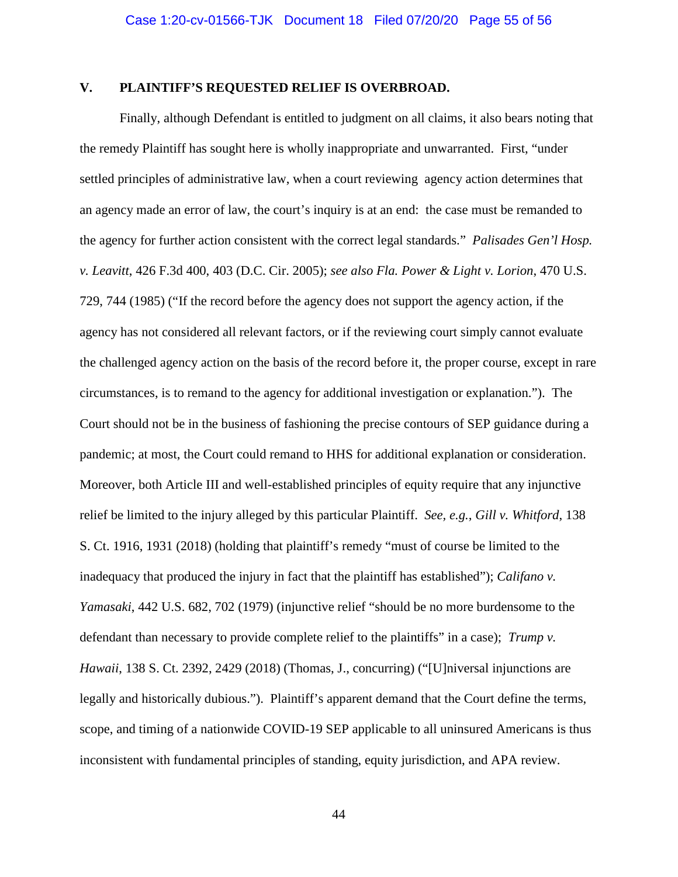## **V. PLAINTIFF'S REQUESTED RELIEF IS OVERBROAD.**

Finally, although Defendant is entitled to judgment on all claims, it also bears noting that the remedy Plaintiff has sought here is wholly inappropriate and unwarranted. First, "under settled principles of administrative law, when a court reviewing agency action determines that an agency made an error of law, the court's inquiry is at an end: the case must be remanded to the agency for further action consistent with the correct legal standards." *Palisades Gen'l Hosp. v. Leavitt*, 426 F.3d 400, 403 (D.C. Cir. 2005); *see also Fla. Power & Light v. Lorion*, 470 U.S. 729, 744 (1985) ("If the record before the agency does not support the agency action, if the agency has not considered all relevant factors, or if the reviewing court simply cannot evaluate the challenged agency action on the basis of the record before it, the proper course, except in rare circumstances, is to remand to the agency for additional investigation or explanation."). The Court should not be in the business of fashioning the precise contours of SEP guidance during a pandemic; at most, the Court could remand to HHS for additional explanation or consideration. Moreover, both Article III and well-established principles of equity require that any injunctive relief be limited to the injury alleged by this particular Plaintiff. *See, e.g.*, *Gill v. Whitford*, 138 S. Ct. 1916, 1931 (2018) (holding that plaintiff's remedy "must of course be limited to the inadequacy that produced the injury in fact that the plaintiff has established"); *Califano v. Yamasaki*, 442 U.S. 682, 702 (1979) (injunctive relief "should be no more burdensome to the defendant than necessary to provide complete relief to the plaintiffs" in a case); *Trump v. Hawaii*, 138 S. Ct. 2392, 2429 (2018) (Thomas, J., concurring) ("[U]niversal injunctions are legally and historically dubious."). Plaintiff's apparent demand that the Court define the terms, scope, and timing of a nationwide COVID-19 SEP applicable to all uninsured Americans is thus inconsistent with fundamental principles of standing, equity jurisdiction, and APA review.